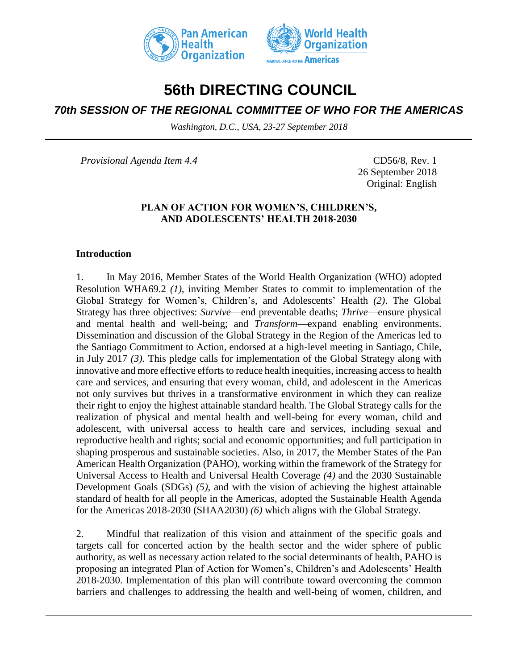



# **56th DIRECTING COUNCIL**

# *70th SESSION OF THE REGIONAL COMMITTEE OF WHO FOR THE AMERICAS*

*Washington, D.C., USA, 23-27 September 2018*

*Provisional Agenda Item 4.4* CD56/8, Rev. 1

26 September 2018 Original: English

## **PLAN OF ACTION FOR WOMEN'S, CHILDREN'S, AND ADOLESCENTS' HEALTH 2018-2030**

#### **Introduction**

1. In May 2016, Member States of the World Health Organization (WHO) adopted Resolution WHA69.2 *(1),* inviting Member States to commit to implementation of the Global Strategy for Women's, Children's, and Adolescents' Health *(2)*. The Global Strategy has three objectives: *Survive*—end preventable deaths; *Thrive*—ensure physical and mental health and well-being; and *Transform*—expand enabling environments. Dissemination and discussion of the Global Strategy in the Region of the Americas led to the Santiago Commitment to Action, endorsed at a high-level meeting in Santiago, Chile, in July 2017 *(3).* This pledge calls for implementation of the Global Strategy along with innovative and more effective efforts to reduce health inequities, increasing access to health care and services, and ensuring that every woman, child, and adolescent in the Americas not only survives but thrives in a transformative environment in which they can realize their right to enjoy the highest attainable standard health. The Global Strategy calls for the realization of physical and mental health and well-being for every woman, child and adolescent, with universal access to health care and services, including sexual and reproductive health and rights; social and economic opportunities; and full participation in shaping prosperous and sustainable societies. Also, in 2017, the Member States of the Pan American Health Organization (PAHO), working within the framework of the Strategy for Universal Access to Health and Universal Health Coverage *(4)* and the 2030 Sustainable Development Goals (SDGs) *(5)*, and with the vision of achieving the highest attainable standard of health for all people in the Americas, adopted the Sustainable Health Agenda for the Americas 2018-2030 (SHAA2030) *(6)* which aligns with the Global Strategy.

2. Mindful that realization of this vision and attainment of the specific goals and targets call for concerted action by the health sector and the wider sphere of public authority, as well as necessary action related to the social determinants of health, PAHO is proposing an integrated Plan of Action for Women's, Children's and Adolescents' Health 2018-2030. Implementation of this plan will contribute toward overcoming the common barriers and challenges to addressing the health and well-being of women, children, and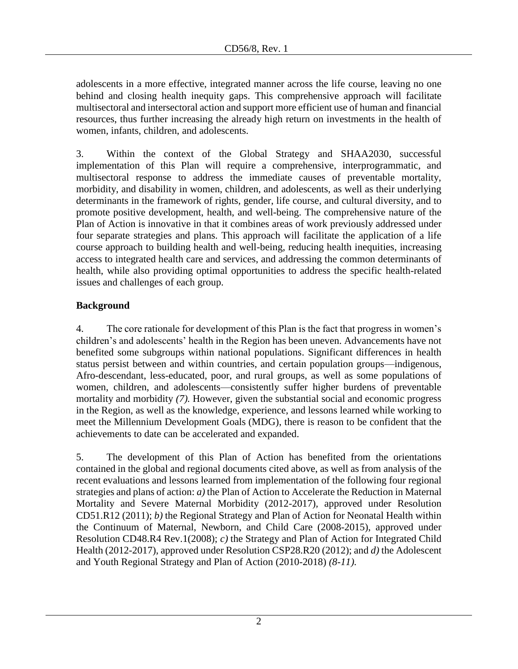adolescents in a more effective, integrated manner across the life course, leaving no one behind and closing health inequity gaps. This comprehensive approach will facilitate multisectoral and intersectoral action and support more efficient use of human and financial resources, thus further increasing the already high return on investments in the health of women, infants, children, and adolescents.

3. Within the context of the Global Strategy and SHAA2030, successful implementation of this Plan will require a comprehensive, interprogrammatic, and multisectoral response to address the immediate causes of preventable mortality, morbidity, and disability in women, children, and adolescents, as well as their underlying determinants in the framework of rights, gender, life course, and cultural diversity, and to promote positive development, health, and well-being. The comprehensive nature of the Plan of Action is innovative in that it combines areas of work previously addressed under four separate strategies and plans. This approach will facilitate the application of a life course approach to building health and well-being, reducing health inequities, increasing access to integrated health care and services, and addressing the common determinants of health, while also providing optimal opportunities to address the specific health-related issues and challenges of each group.

# **Background**

4. The core rationale for development of this Plan is the fact that progress in women's children's and adolescents' health in the Region has been uneven. Advancements have not benefited some subgroups within national populations. Significant differences in health status persist between and within countries, and certain population groups—indigenous, Afro-descendant, less-educated, poor, and rural groups, as well as some populations of women, children, and adolescents—consistently suffer higher burdens of preventable mortality and morbidity *(7).* However, given the substantial social and economic progress in the Region, as well as the knowledge, experience, and lessons learned while working to meet the Millennium Development Goals (MDG), there is reason to be confident that the achievements to date can be accelerated and expanded.

5. The development of this Plan of Action has benefited from the orientations contained in the global and regional documents cited above, as well as from analysis of the recent evaluations and lessons learned from implementation of the following four regional strategies and plans of action: *a)* the Plan of Action to Accelerate the Reduction in Maternal Mortality and Severe Maternal Morbidity (2012-2017)*,* approved under Resolution CD51.R12 (2011); *b)* the Regional Strategy and Plan of Action for Neonatal Health within the Continuum of Maternal, Newborn, and Child Care (2008-2015), approved under Resolution CD48.R4 Rev.1(2008); *c)* the Strategy and Plan of Action for Integrated Child Health (2012-2017), approved under Resolution CSP28.R20 (2012); and *d)* the Adolescent and Youth Regional Strategy and Plan of Action (2010-2018) *(8-11).*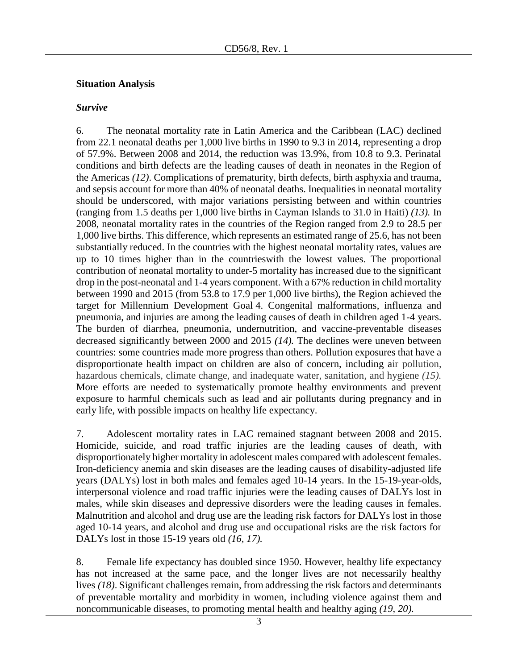#### **Situation Analysis**

#### *Survive*

6. The neonatal mortality rate in Latin America and the Caribbean (LAC) declined from 22.1 neonatal deaths per 1,000 live births in 1990 to 9.3 in 2014, representing a drop of 57.9%. Between 2008 and 2014, the reduction was 13.9%, from 10.8 to 9.3. Perinatal conditions and birth defects are the leading causes of death in neonates in the Region of the Americas *(12)*. Complications of prematurity, birth defects, birth asphyxia and trauma, and sepsis account for more than 40% of neonatal deaths. Inequalities in neonatal mortality should be underscored, with major variations persisting between and within countries (ranging from 1.5 deaths per 1,000 live births in Cayman Islands to 31.0 in Haiti) *(13).* In 2008, neonatal mortality rates in the countries of the Region ranged from 2.9 to 28.5 per 1,000 live births. This difference, which represents an estimated range of 25.6, has not been substantially reduced. In the countries with the highest neonatal mortality rates, values are up to 10 times higher than in the countrieswith the lowest values. The proportional contribution of neonatal mortality to under-5 mortality has increased due to the significant drop in the post-neonatal and 1-4 years component. With a 67% reduction in child mortality between 1990 and 2015 (from 53.8 to 17.9 per 1,000 live births), the Region achieved the target for Millennium Development Goal 4. Congenital malformations, influenza and pneumonia, and injuries are among the leading causes of death in children aged 1-4 years. The burden of diarrhea, pneumonia, undernutrition, and vaccine-preventable diseases decreased significantly between 2000 and 2015 *(14).* The declines were uneven between countries: some countries made more progress than others. Pollution exposures that have a disproportionate health impact on children are also of concern, including air pollution, hazardous chemicals, climate change, and inadequate water, sanitation, and hygiene *(15).* More efforts are needed to systematically promote healthy environments and prevent exposure to harmful chemicals such as lead and air pollutants during pregnancy and in early life, with possible impacts on healthy life expectancy.

7. Adolescent mortality rates in LAC remained stagnant between 2008 and 2015. Homicide, suicide, and road traffic injuries are the leading causes of death, with disproportionately higher mortality in adolescent males compared with adolescent females. Iron-deficiency anemia and skin diseases are the leading causes of disability-adjusted life years (DALYs) lost in both males and females aged 10-14 years. In the 15-19-year-olds, interpersonal violence and road traffic injuries were the leading causes of DALYs lost in males, while skin diseases and depressive disorders were the leading causes in females. Malnutrition and alcohol and drug use are the leading risk factors for DALYs lost in those aged 10-14 years, and alcohol and drug use and occupational risks are the risk factors for DALYs lost in those 15-19 years old *(16, 17).*

8. Female life expectancy has doubled since 1950. However, healthy life expectancy has not increased at the same pace, and the longer lives are not necessarily healthy lives *(18)*. Significant challenges remain, from addressing the risk factors and determinants of preventable mortality and morbidity in women, including violence against them and noncommunicable diseases, to promoting mental health and healthy aging *(19, 20)*.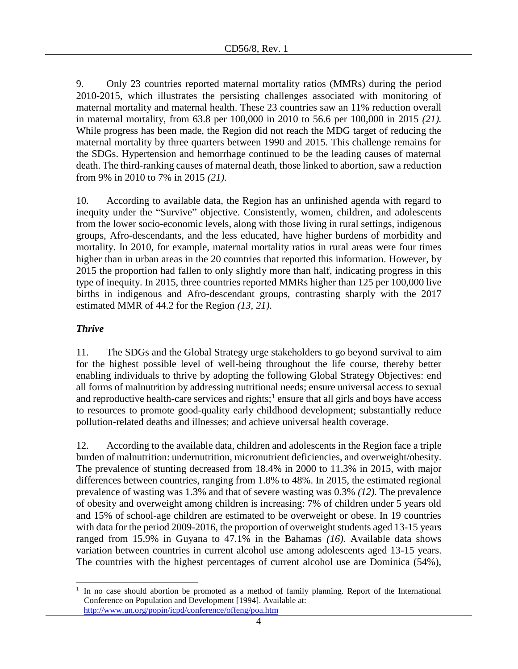9. Only 23 countries reported maternal mortality ratios (MMRs) during the period 2010-2015, which illustrates the persisting challenges associated with monitoring of maternal mortality and maternal health. These 23 countries saw an 11% reduction overall in maternal mortality, from 63.8 per 100,000 in 2010 to 56.6 per 100,000 in 2015 *(21).* While progress has been made, the Region did not reach the MDG target of reducing the maternal mortality by three quarters between 1990 and 2015. This challenge remains for the SDGs. Hypertension and hemorrhage continued to be the leading causes of maternal death. The third-ranking causes of maternal death, those linked to abortion, saw a reduction from 9% in 2010 to 7% in 2015 *(21).*

10. According to available data, the Region has an unfinished agenda with regard to inequity under the "Survive" objective. Consistently, women, children, and adolescents from the lower socio-economic levels, along with those living in rural settings, indigenous groups, Afro-descendants, and the less educated, have higher burdens of morbidity and mortality. In 2010, for example, maternal mortality ratios in rural areas were four times higher than in urban areas in the 20 countries that reported this information. However, by 2015 the proportion had fallen to only slightly more than half, indicating progress in this type of inequity. In 2015, three countries reported MMRs higher than 125 per 100,000 live births in indigenous and Afro-descendant groups, contrasting sharply with the 2017 estimated MMR of 44.2 for the Region *(13, 21)*.

## *Thrive*

 $\overline{a}$ 

11. The SDGs and the Global Strategy urge stakeholders to go beyond survival to aim for the highest possible level of well-being throughout the life course, thereby better enabling individuals to thrive by adopting the following Global Strategy Objectives: end all forms of malnutrition by addressing nutritional needs; ensure universal access to sexual and reproductive health-care services and rights;  $\frac{1}{2}$  ensure that all girls and boys have access to resources to promote good-quality early childhood development; substantially reduce pollution-related deaths and illnesses; and achieve universal health coverage.

12. According to the available data, children and adolescents in the Region face a triple burden of malnutrition: undernutrition, micronutrient deficiencies, and overweight/obesity. The prevalence of stunting decreased from 18.4% in 2000 to 11.3% in 2015, with major differences between countries, ranging from 1.8% to 48%. In 2015, the estimated regional prevalence of wasting was 1.3% and that of severe wasting was 0.3% *(12).* The prevalence of obesity and overweight among children is increasing: 7% of children under 5 years old and 15% of school-age children are estimated to be overweight or obese. In 19 countries with data for the period 2009-2016, the proportion of overweight students aged 13-15 years ranged from 15.9% in Guyana to 47.1% in the Bahamas *(16).* Available data shows variation between countries in current alcohol use among adolescents aged 13-15 years. The countries with the highest percentages of current alcohol use are Dominica (54%),

<sup>1</sup> In no case should abortion be promoted as a method of family planning. Report of the International Conference on Population and Development [1994]. Available at: <http://www.un.org/popin/icpd/conference/offeng/poa.htm>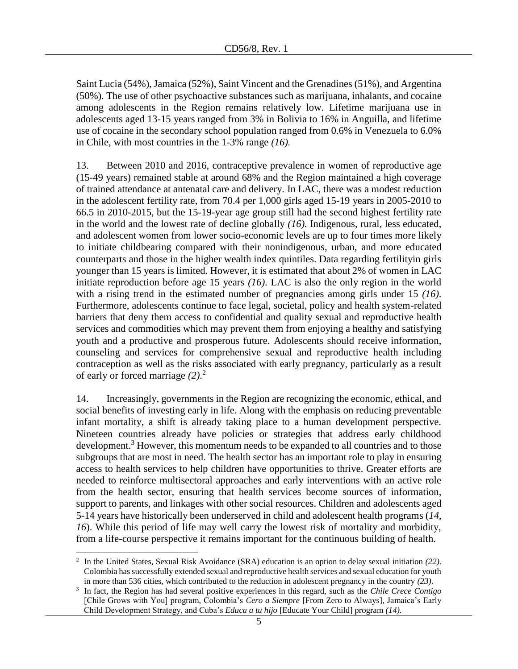Saint Lucia (54%), Jamaica (52%), Saint Vincent and the Grenadines (51%), and Argentina (50%). The use of other psychoactive substances such as marijuana, inhalants, and cocaine among adolescents in the Region remains relatively low. Lifetime marijuana use in adolescents aged 13-15 years ranged from 3% in Bolivia to 16% in Anguilla, and lifetime use of cocaine in the secondary school population ranged from 0.6% in Venezuela to 6.0% in Chile, with most countries in the 1-3% range *(16).*

13. Between 2010 and 2016, contraceptive prevalence in women of reproductive age (15-49 years) remained stable at around 68% and the Region maintained a high coverage of trained attendance at antenatal care and delivery. In LAC, there was a modest reduction in the adolescent fertility rate, from 70.4 per 1,000 girls aged 15-19 years in 2005-2010 to 66.5 in 2010-2015, but the 15-19-year age group still had the second highest fertility rate in the world and the lowest rate of decline globally *(16).* Indigenous, rural, less educated, and adolescent women from lower socio-economic levels are up to four times more likely to initiate childbearing compared with their nonindigenous, urban, and more educated counterparts and those in the higher wealth index quintiles. Data regarding fertilityin girls younger than 15 years is limited. However, it is estimated that about 2% of women in LAC initiate reproduction before age 15 years *(16)*. LAC is also the only region in the world with a rising trend in the estimated number of pregnancies among girls under 15 *(16)*. Furthermore, adolescents continue to face legal, societal, policy and health system-related barriers that deny them access to confidential and quality sexual and reproductive health services and commodities which may prevent them from enjoying a healthy and satisfying youth and a productive and prosperous future. Adolescents should receive information, counseling and services for comprehensive sexual and reproductive health including contraception as well as the risks associated with early pregnancy, particularly as a result of early or forced marriage *(2)*. 2

14. Increasingly, governments in the Region are recognizing the economic, ethical, and social benefits of investing early in life. Along with the emphasis on reducing preventable infant mortality, a shift is already taking place to a human development perspective. Nineteen countries already have policies or strategies that address early childhood development.<sup>3</sup> However, this momentum needs to be expanded to all countries and to those subgroups that are most in need. The health sector has an important role to play in ensuring access to health services to help children have opportunities to thrive. Greater efforts are needed to reinforce multisectoral approaches and early interventions with an active role from the health sector, ensuring that health services become sources of information, support to parents, and linkages with other social resources. Children and adolescents aged 5-14 years have historically been underserved in child and adolescent health programs (*14, 16*). While this period of life may well carry the lowest risk of mortality and morbidity, from a life-course perspective it remains important for the continuous building of health.

l

<sup>2</sup> In the United States, Sexual Risk Avoidance (SRA) education is an option to delay sexual initiation *(22)*. Colombia has successfully extended sexual and reproductive health services and sexual education for youth in more than 536 cities, which contributed to the reduction in adolescent pregnancy in the country *(23)*.

<sup>3</sup> In fact, the Region has had several positive experiences in this regard, such as the *Chile Crece Contigo*  [Chile Grows with You] program, Colombia's *Cero a Siempre* [From Zero to Always], Jamaica's Early Child Development Strategy, and Cuba's *Educa a tu hijo* [Educate Your Child] program *(14).*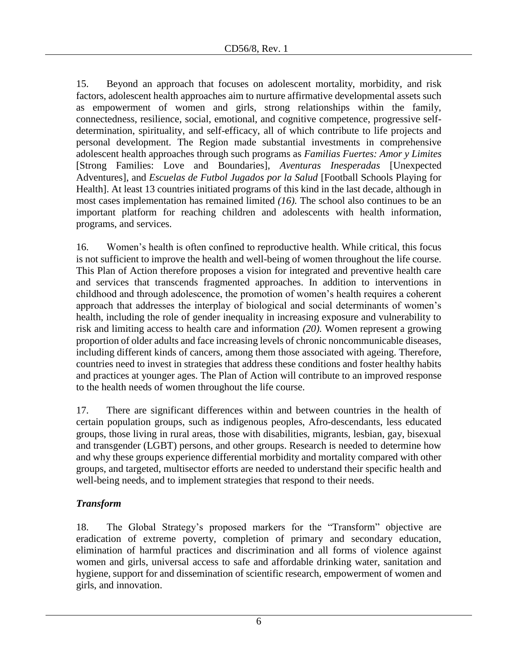15. Beyond an approach that focuses on adolescent mortality, morbidity, and risk factors, adolescent health approaches aim to nurture affirmative developmental assets such as empowerment of women and girls, strong relationships within the family, connectedness, resilience, social, emotional, and cognitive competence, progressive selfdetermination, spirituality, and self-efficacy, all of which contribute to life projects and personal development. The Region made substantial investments in comprehensive adolescent health approaches through such programs as *Familias Fuertes: Amor y Limites* [Strong Families: Love and Boundaries], *Aventuras Inesperadas* [Unexpected Adventures], and *Escuelas de Futbol Jugados por la Salud* [Football Schools Playing for Health]. At least 13 countries initiated programs of this kind in the last decade, although in most cases implementation has remained limited *(16).* The school also continues to be an important platform for reaching children and adolescents with health information, programs, and services.

16. Women's health is often confined to reproductive health. While critical, this focus is not sufficient to improve the health and well-being of women throughout the life course. This Plan of Action therefore proposes a vision for integrated and preventive health care and services that transcends fragmented approaches. In addition to interventions in childhood and through adolescence, the promotion of women's health requires a coherent approach that addresses the interplay of biological and social determinants of women's health, including the role of gender inequality in increasing exposure and vulnerability to risk and limiting access to health care and information *(20).* Women represent a growing proportion of older adults and face increasing levels of chronic noncommunicable diseases, including different kinds of cancers, among them those associated with ageing. Therefore, countries need to invest in strategies that address these conditions and foster healthy habits and practices at younger ages. The Plan of Action will contribute to an improved response to the health needs of women throughout the life course.

17. There are significant differences within and between countries in the health of certain population groups, such as indigenous peoples, Afro-descendants, less educated groups, those living in rural areas, those with disabilities, migrants, lesbian, gay, bisexual and transgender (LGBT) persons, and other groups. Research is needed to determine how and why these groups experience differential morbidity and mortality compared with other groups, and targeted, multisector efforts are needed to understand their specific health and well-being needs, and to implement strategies that respond to their needs.

# *Transform*

18. The Global Strategy's proposed markers for the "Transform" objective are eradication of extreme poverty, completion of primary and secondary education, elimination of harmful practices and discrimination and all forms of violence against women and girls, universal access to safe and affordable drinking water, sanitation and hygiene, support for and dissemination of scientific research, empowerment of women and girls, and innovation.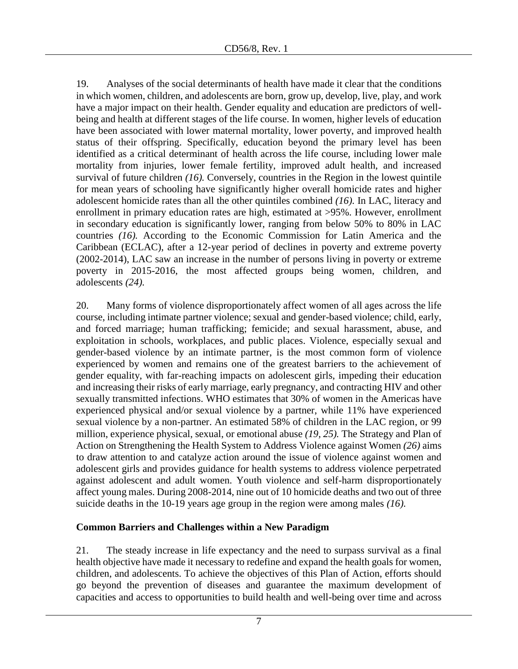19. Analyses of the social determinants of health have made it clear that the conditions in which women, children, and adolescents are born, grow up, develop, live, play, and work have a major impact on their health. Gender equality and education are predictors of wellbeing and health at different stages of the life course. In women, higher levels of education have been associated with lower maternal mortality, lower poverty, and improved health status of their offspring. Specifically, education beyond the primary level has been identified as a critical determinant of health across the life course, including lower male mortality from injuries, lower female fertility, improved adult health, and increased survival of future children *(16).* Conversely, countries in the Region in the lowest quintile for mean years of schooling have significantly higher overall homicide rates and higher adolescent homicide rates than all the other quintiles combined *(16).* In LAC, literacy and enrollment in primary education rates are high, estimated at >95%. However, enrollment in secondary education is significantly lower, ranging from below 50% to 80% in LAC countries *(16).* According to the Economic Commission for Latin America and the Caribbean (ECLAC), after a 12-year period of declines in poverty and extreme poverty (2002-2014), LAC saw an increase in the number of persons living in poverty or extreme poverty in 2015-2016, the most affected groups being women, children, and adolescents *(24).*

20. Many forms of violence disproportionately affect women of all ages across the life course, including intimate partner violence; sexual and gender-based violence; child, early, and forced marriage; human trafficking; femicide; and sexual harassment, abuse, and exploitation in schools, workplaces, and public places. Violence, especially sexual and gender-based violence by an intimate partner, is the most common form of violence experienced by women and remains one of the greatest barriers to the achievement of gender equality, with far-reaching impacts on adolescent girls, impeding their education and increasing their risks of early marriage, early pregnancy, and contracting HIV and other sexually transmitted infections. WHO estimates that 30% of women in the Americas have experienced physical and/or sexual violence by a partner, while 11% have experienced sexual violence by a non-partner. An estimated 58% of children in the LAC region, or 99 million, experience physical, sexual, or emotional abuse *(19, 25).* The Strategy and Plan of Action on Strengthening the Health System to Address Violence against Women *(26)* aims to draw attention to and catalyze action around the issue of violence against women and adolescent girls and provides guidance for health systems to address violence perpetrated against adolescent and adult women. Youth violence and self-harm disproportionately affect young males. During 2008-2014, nine out of 10 homicide deaths and two out of three suicide deaths in the 10-19 years age group in the region were among males *(16).*

## **Common Barriers and Challenges within a New Paradigm**

21. The steady increase in life expectancy and the need to surpass survival as a final health objective have made it necessary to redefine and expand the health goals for women, children, and adolescents. To achieve the objectives of this Plan of Action, efforts should go beyond the prevention of diseases and guarantee the maximum development of capacities and access to opportunities to build health and well-being over time and across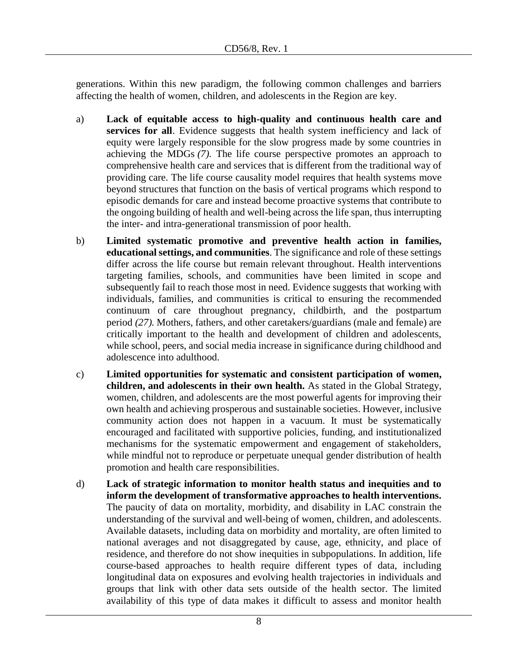generations. Within this new paradigm, the following common challenges and barriers affecting the health of women, children, and adolescents in the Region are key.

- a) **Lack of equitable access to high-quality and continuous health care and services for all.** Evidence suggests that health system inefficiency and lack of equity were largely responsible for the slow progress made by some countries in achieving the MDGs *(7).* The life course perspective promotes an approach to comprehensive health care and services that is different from the traditional way of providing care. The life course causality model requires that health systems move beyond structures that function on the basis of vertical programs which respond to episodic demands for care and instead become proactive systems that contribute to the ongoing building of health and well-being across the life span, thus interrupting the inter- and intra-generational transmission of poor health.
- b) **Limited systematic promotive and preventive health action in families, educational settings, and communities**. The significance and role of these settings differ across the life course but remain relevant throughout. Health interventions targeting families, schools, and communities have been limited in scope and subsequently fail to reach those most in need. Evidence suggests that working with individuals, families, and communities is critical to ensuring the recommended continuum of care throughout pregnancy, childbirth, and the postpartum period *(27).* Mothers, fathers, and other caretakers/guardians (male and female) are critically important to the health and development of children and adolescents, while school, peers, and social media increase in significance during childhood and adolescence into adulthood.
- c) **Limited opportunities for systematic and consistent participation of women, children, and adolescents in their own health.** As stated in the Global Strategy, women, children, and adolescents are the most powerful agents for improving their own health and achieving prosperous and sustainable societies. However, inclusive community action does not happen in a vacuum. It must be systematically encouraged and facilitated with supportive policies, funding, and institutionalized mechanisms for the systematic empowerment and engagement of stakeholders, while mindful not to reproduce or perpetuate unequal gender distribution of health promotion and health care responsibilities.
- d) **Lack of strategic information to monitor health status and inequities and to inform the development of transformative approaches to health interventions.** The paucity of data on mortality, morbidity, and disability in LAC constrain the understanding of the survival and well-being of women, children, and adolescents. Available datasets, including data on morbidity and mortality, are often limited to national averages and not disaggregated by cause, age, ethnicity, and place of residence, and therefore do not show inequities in subpopulations. In addition, life course-based approaches to health require different types of data, including longitudinal data on exposures and evolving health trajectories in individuals and groups that link with other data sets outside of the health sector. The limited availability of this type of data makes it difficult to assess and monitor health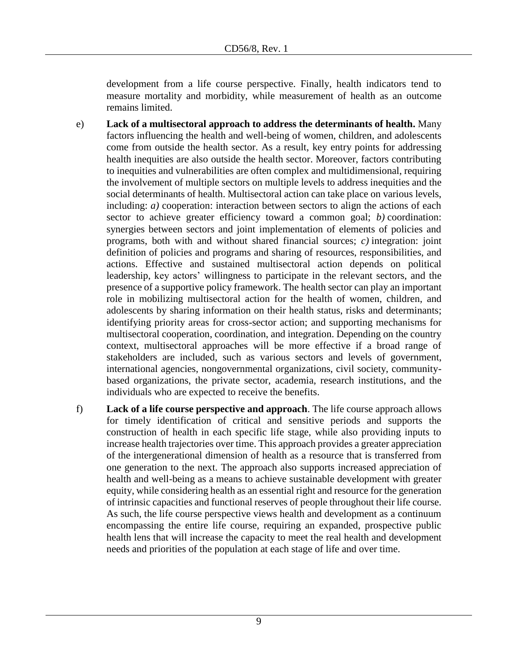development from a life course perspective. Finally, health indicators tend to measure mortality and morbidity, while measurement of health as an outcome remains limited.

- e) **Lack of a multisectoral approach to address the determinants of health.** Many factors influencing the health and well-being of women, children, and adolescents come from outside the health sector. As a result, key entry points for addressing health inequities are also outside the health sector. Moreover, factors contributing to inequities and vulnerabilities are often complex and multidimensional, requiring the involvement of multiple sectors on multiple levels to address inequities and the social determinants of health. Multisectoral action can take place on various levels, including: *a)* cooperation: interaction between sectors to align the actions of each sector to achieve greater efficiency toward a common goal; *b)* coordination: synergies between sectors and joint implementation of elements of policies and programs, both with and without shared financial sources; *c)* integration: joint definition of policies and programs and sharing of resources, responsibilities, and actions. Effective and sustained multisectoral action depends on political leadership, key actors' willingness to participate in the relevant sectors, and the presence of a supportive policy framework. The health sector can play an important role in mobilizing multisectoral action for the health of women, children, and adolescents by sharing information on their health status, risks and determinants; identifying priority areas for cross-sector action; and supporting mechanisms for multisectoral cooperation, coordination, and integration. Depending on the country context, multisectoral approaches will be more effective if a broad range of stakeholders are included, such as various sectors and levels of government, international agencies, nongovernmental organizations, civil society, communitybased organizations, the private sector, academia, research institutions, and the individuals who are expected to receive the benefits.
- f) **Lack of a life course perspective and approach**. The life course approach allows for timely identification of critical and sensitive periods and supports the construction of health in each specific life stage, while also providing inputs to increase health trajectories over time. This approach provides a greater appreciation of the intergenerational dimension of health as a resource that is transferred from one generation to the next. The approach also supports increased appreciation of health and well-being as a means to achieve sustainable development with greater equity, while considering health as an essential right and resource for the generation of intrinsic capacities and functional reserves of people throughout their life course. As such, the life course perspective views health and development as a continuum encompassing the entire life course, requiring an expanded, prospective public health lens that will increase the capacity to meet the real health and development needs and priorities of the population at each stage of life and over time.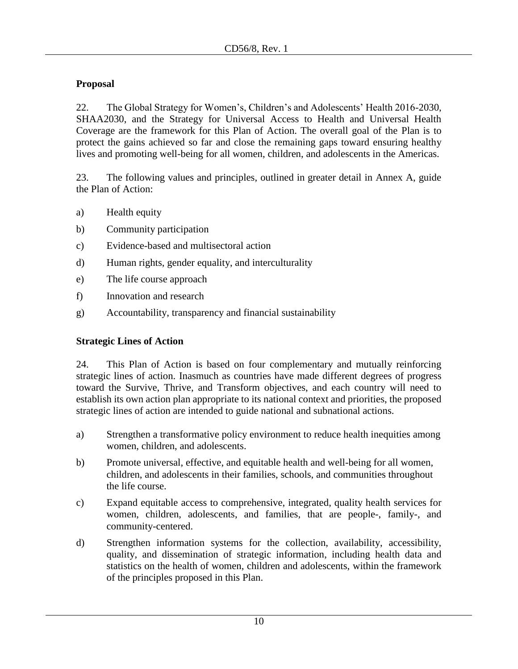## **Proposal**

22. The Global Strategy for Women's, Children's and Adolescents' Health 2016-2030, SHAA2030, and the Strategy for Universal Access to Health and Universal Health Coverage are the framework for this Plan of Action. The overall goal of the Plan is to protect the gains achieved so far and close the remaining gaps toward ensuring healthy lives and promoting well-being for all women, children, and adolescents in the Americas.

23. The following values and principles, outlined in greater detail in Annex A, guide the Plan of Action:

- a) Health equity
- b) Community participation
- c) Evidence-based and multisectoral action
- d) Human rights, gender equality, and interculturality
- e) The life course approach
- f) Innovation and research
- g) Accountability, transparency and financial sustainability

## **Strategic Lines of Action**

24. This Plan of Action is based on four complementary and mutually reinforcing strategic lines of action. Inasmuch as countries have made different degrees of progress toward the Survive, Thrive, and Transform objectives, and each country will need to establish its own action plan appropriate to its national context and priorities, the proposed strategic lines of action are intended to guide national and subnational actions.

- a) Strengthen a transformative policy environment to reduce health inequities among women, children, and adolescents.
- b) Promote universal, effective, and equitable health and well-being for all women, children, and adolescents in their families, schools, and communities throughout the life course.
- c) Expand equitable access to comprehensive, integrated, quality health services for women, children, adolescents, and families, that are people-, family-, and community-centered.
- d) Strengthen information systems for the collection, availability, accessibility, quality, and dissemination of strategic information, including health data and statistics on the health of women, children and adolescents, within the framework of the principles proposed in this Plan.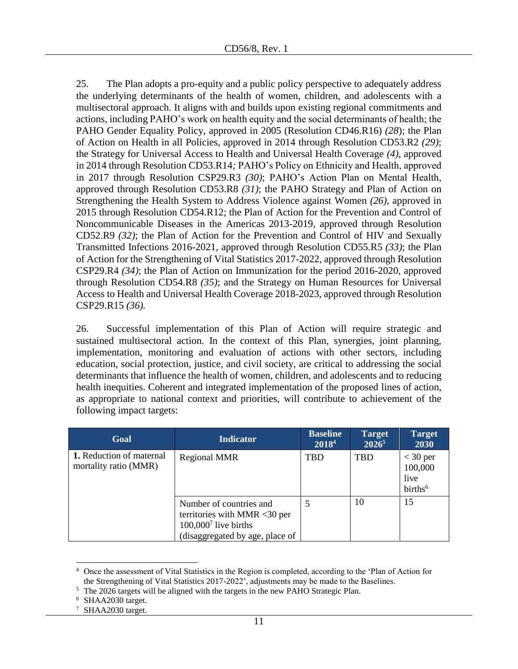25. The Plan adopts a pro-equity and a public policy perspective to adequately address the underlying determinants of the health of women, children, and adolescents with a multisectoral approach. It aligns with and builds upon existing regional commitments and actions, including PAHO's work on health equity and the social determinants of health; the PAHO Gender Equality Policy, approved in 2005 (Resolution CD46.R16) *(28*); the Plan of Action on Health in all Policies, approved in 2014 through Resolution CD53.R2 *(29)*; the Strategy for Universal Access to Health and Universal Health Coverage *(4)*, approved in 2014 through Resolution CD53.R14*;* PAHO's Policy on Ethnicity and Health, approved in 2017 through Resolution CSP29.R3 *(30)*; PAHO's Action Plan on Mental Health, approved through Resolution CD53.R8 *(31)*; the PAHO Strategy and Plan of Action on Strengthening the Health System to Address Violence against Women *(26)*, approved in 2015 through Resolution CD54.R12; the Plan of Action for the Prevention and Control of Noncommunicable Diseases in the Americas 2013-2019, approved through Resolution CD52.R9 *(32)*; the Plan of Action for the Prevention and Control of HIV and Sexually Transmitted Infections 2016-2021, approved through Resolution CD55.R5 *(33)*; the Plan of Action for the Strengthening of Vital Statistics 2017-2022, approved through Resolution CSP29.R4 *(34)*; the Plan of Action on Immunization for the period 2016-2020, approved through Resolution CD54.R8 *(35)*; and the Strategy on Human Resources for Universal Access to Health and Universal Health Coverage 2018-2023, approved through Resolution CSP29.R15 *(36).*

26. Successful implementation of this Plan of Action will require strategic and sustained multisectoral action. In the context of this Plan, synergies, joint planning, implementation, monitoring and evaluation of actions with other sectors, including education, social protection, justice, and civil society, are critical to addressing the social determinants that influence the health of women, children, and adolescents and to reducing health inequities. Coherent and integrated implementation of the proposed lines of action, as appropriate to national context and priorities, will contribute to achievement of the following impact targets:

| Goal                                              | <b>Indicator</b>                                                                                                     | <b>Baseline</b><br>20184 | <b>Target</b><br>$2026^5$ | <b>Target</b><br>2030                                |
|---------------------------------------------------|----------------------------------------------------------------------------------------------------------------------|--------------------------|---------------------------|------------------------------------------------------|
| 1. Reduction of maternal<br>mortality ratio (MMR) | <b>Regional MMR</b>                                                                                                  | TBD                      | <b>TBD</b>                | $<$ 30 per<br>100,000<br>live<br>births <sup>6</sup> |
|                                                   | Number of countries and<br>territories with MMR <30 per<br>$100,0007$ live births<br>(disaggregated by age, place of |                          | 10                        | 15                                                   |

 $\overline{a}$ Once the assessment of Vital Statistics in the Region is completed, according to the 'Plan of Action for the Strengthening of Vital Statistics 2017-2022', adjustments may be made to the Baselines.

<sup>6</sup> SHAA2030 target.

<sup>&</sup>lt;sup>5</sup> The 2026 targets will be aligned with the targets in the new PAHO Strategic Plan.

<sup>&</sup>lt;sup>7</sup> SHAA2030 target.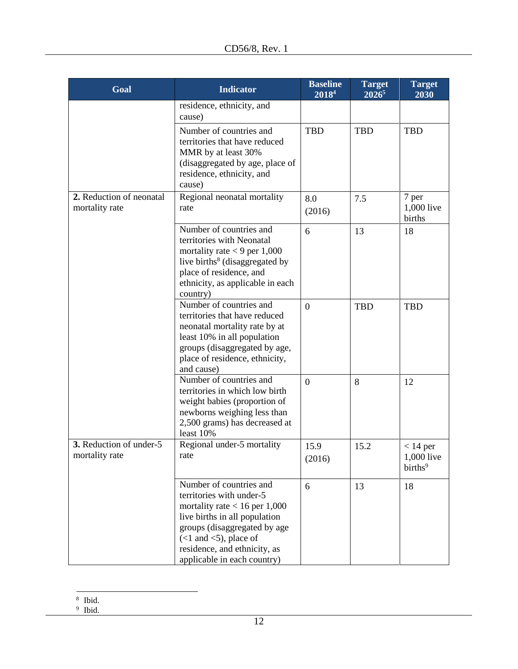| Goal                                       | <b>Indicator</b>                                                                                                                                                                                                                                     | <b>Baseline</b><br>2018 <sup>4</sup> | <b>Target</b><br>$2026^5$ | <b>Target</b><br>2030                           |
|--------------------------------------------|------------------------------------------------------------------------------------------------------------------------------------------------------------------------------------------------------------------------------------------------------|--------------------------------------|---------------------------|-------------------------------------------------|
|                                            | residence, ethnicity, and<br>cause)                                                                                                                                                                                                                  |                                      |                           |                                                 |
|                                            | Number of countries and<br>territories that have reduced<br>MMR by at least 30%<br>(disaggregated by age, place of<br>residence, ethnicity, and<br>cause)                                                                                            | <b>TBD</b>                           | <b>TBD</b>                | <b>TBD</b>                                      |
| 2. Reduction of neonatal<br>mortality rate | Regional neonatal mortality<br>rate                                                                                                                                                                                                                  | 8.0<br>(2016)                        | 7.5                       | 7 per<br>1,000 live<br>births                   |
|                                            | Number of countries and<br>territories with Neonatal<br>mortality rate $<$ 9 per 1,000<br>live births <sup>8</sup> (disaggregated by<br>place of residence, and<br>ethnicity, as applicable in each<br>country)                                      | 6                                    | 13                        | 18                                              |
|                                            | Number of countries and<br>territories that have reduced<br>neonatal mortality rate by at<br>least 10% in all population<br>groups (disaggregated by age,<br>place of residence, ethnicity,<br>and cause)                                            | $\overline{0}$                       | <b>TBD</b>                | <b>TBD</b>                                      |
|                                            | Number of countries and<br>territories in which low birth<br>weight babies (proportion of<br>newborns weighing less than<br>2,500 grams) has decreased at<br>least 10%                                                                               | $\overline{0}$                       | 8                         | 12                                              |
| 3. Reduction of under-5<br>mortality rate  | Regional under-5 mortality<br>rate                                                                                                                                                                                                                   | 15.9<br>(2016)                       | 15.2                      | $< 14$ per<br>1,000 live<br>births <sup>9</sup> |
|                                            | Number of countries and<br>territories with under-5<br>mortality rate $< 16$ per 1,000<br>live births in all population<br>groups (disaggregated by age<br>$(<1$ and $<5$ ), place of<br>residence, and ethnicity, as<br>applicable in each country) | 6                                    | 13                        | 18                                              |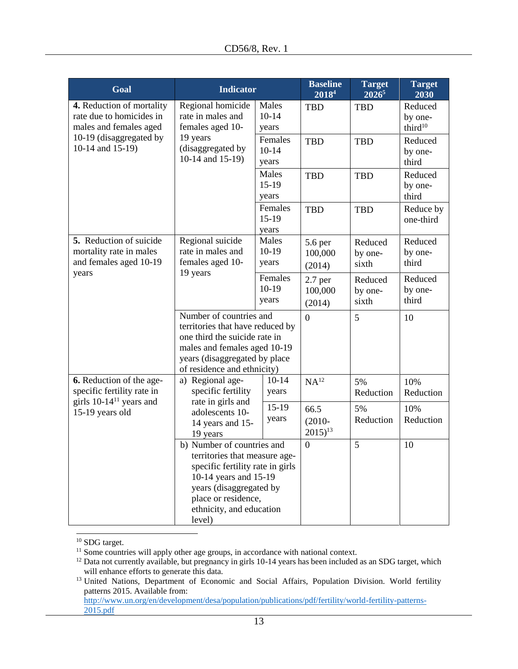| Goal                                                                                                                                                                                                             | <b>Indicator</b>                                                                                                                                                                             |                             | <b>Baseline</b><br>20184          | <b>Target</b><br>20265      | <b>Target</b><br>2030                     |
|------------------------------------------------------------------------------------------------------------------------------------------------------------------------------------------------------------------|----------------------------------------------------------------------------------------------------------------------------------------------------------------------------------------------|-----------------------------|-----------------------------------|-----------------------------|-------------------------------------------|
| 4. Reduction of mortality<br>rate due to homicides in<br>males and females aged                                                                                                                                  | Regional homicide<br>rate in males and<br>females aged 10-                                                                                                                                   | Males<br>$10-14$<br>years   | <b>TBD</b>                        | <b>TBD</b>                  | Reduced<br>by one-<br>third <sup>10</sup> |
| 10-19 (disaggregated by<br>10-14 and 15-19)                                                                                                                                                                      | 19 years<br>(disaggregated by<br>10-14 and 15-19)                                                                                                                                            | Females<br>$10-14$<br>years | <b>TBD</b>                        | <b>TBD</b>                  | Reduced<br>by one-<br>third               |
|                                                                                                                                                                                                                  |                                                                                                                                                                                              | Males<br>$15-19$<br>years   | <b>TBD</b>                        | <b>TBD</b>                  | Reduced<br>by one-<br>third               |
|                                                                                                                                                                                                                  |                                                                                                                                                                                              | Females<br>$15-19$<br>years | <b>TBD</b>                        | <b>TBD</b>                  | Reduce by<br>one-third                    |
| 5. Reduction of suicide<br>mortality rate in males<br>and females aged 10-19                                                                                                                                     | Regional suicide<br>rate in males and<br>females aged 10-                                                                                                                                    | Males<br>$10-19$<br>years   | 5.6 per<br>100,000<br>(2014)      | Reduced<br>by one-<br>sixth | Reduced<br>by one-<br>third               |
| years                                                                                                                                                                                                            | 19 years                                                                                                                                                                                     | Females<br>$10-19$<br>years | $2.7$ per<br>100,000<br>(2014)    | Reduced<br>by one-<br>sixth | Reduced<br>by one-<br>third               |
|                                                                                                                                                                                                                  | Number of countries and<br>territories that have reduced by<br>one third the suicide rate in<br>males and females aged 10-19<br>years (disaggregated by place<br>of residence and ethnicity) |                             | $\Omega$                          | 5                           | 10                                        |
| 6. Reduction of the age-<br>specific fertility rate in                                                                                                                                                           | a) Regional age-<br>specific fertility                                                                                                                                                       | $10-14$<br>years            | NA <sup>12</sup>                  | 5%<br>Reduction             | 10%<br>Reduction                          |
| girls 10-14 <sup>11</sup> years and<br>15-19 years old                                                                                                                                                           | rate in girls and<br>adolescents 10-<br>14 years and 15-<br>19 years                                                                                                                         | $15-19$<br>years            | 66.5<br>$(2010 -$<br>$2015)^{13}$ | 5%<br>Reduction             | 10%<br>Reduction                          |
| b) Number of countries and<br>territories that measure age-<br>specific fertility rate in girls<br>10-14 years and 15-19<br>years (disaggregated by<br>place or residence,<br>ethnicity, and education<br>level) |                                                                                                                                                                                              | $\overline{0}$              | 5                                 | 10                          |                                           |

<sup>10</sup> SDG target.

 $\overline{a}$ 

 $11$  Some countries will apply other age groups, in accordance with national context.

 $12$  Data not currently available, but pregnancy in girls 10-14 years has been included as an SDG target, which will enhance efforts to generate this data.

<sup>&</sup>lt;sup>13</sup> United Nations, Department of Economic and Social Affairs, Population Division. World fertility patterns 2015. Available from:

[http://www.un.org/en/development/desa/population/publications/pdf/fertility/world-fertility-patterns-](http://www.un.org/en/development/desa/population/publications/pdf/fertility/world-fertility-patterns-2015.pdf)[2015.pdf](http://www.un.org/en/development/desa/population/publications/pdf/fertility/world-fertility-patterns-2015.pdf)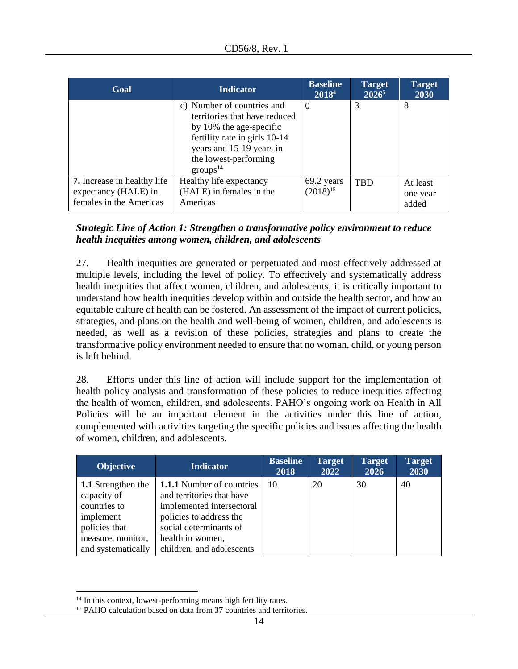| Goal                                                                                  | <b>Indicator</b>                                                                                                                                                                                     | <b>Baseline</b><br>$2018^4$ | <b>Target</b><br>$2026^5$ | <b>Target</b><br>2030         |
|---------------------------------------------------------------------------------------|------------------------------------------------------------------------------------------------------------------------------------------------------------------------------------------------------|-----------------------------|---------------------------|-------------------------------|
|                                                                                       | c) Number of countries and<br>territories that have reduced<br>by 10% the age-specific<br>fertility rate in girls 10-14<br>years and 15-19 years in<br>the lowest-performing<br>$\text{groups}^{14}$ | $\theta$                    | 3                         | 8                             |
| <b>7.</b> Increase in healthy life<br>expectancy (HALE) in<br>females in the Americas | Healthy life expectancy<br>(HALE) in females in the<br>Americas                                                                                                                                      | 69.2 years<br>$(2018)^{15}$ | <b>TBD</b>                | At least<br>one year<br>added |

## *Strategic Line of Action 1: Strengthen a transformative policy environment to reduce health inequities among women, children, and adolescents*

27. Health inequities are generated or perpetuated and most effectively addressed at multiple levels, including the level of policy. To effectively and systematically address health inequities that affect women, children, and adolescents, it is critically important to understand how health inequities develop within and outside the health sector, and how an equitable culture of health can be fostered. An assessment of the impact of current policies, strategies, and plans on the health and well-being of women, children, and adolescents is needed, as well as a revision of these policies, strategies and plans to create the transformative policy environment needed to ensure that no woman, child, or young person is left behind.

28. Efforts under this line of action will include support for the implementation of health policy analysis and transformation of these policies to reduce inequities affecting the health of women, children, and adolescents. PAHO's ongoing work on Health in All Policies will be an important element in the activities under this line of action, complemented with activities targeting the specific policies and issues affecting the health of women, children, and adolescents.

| <b>Objective</b>                                                                                                                  | <b>Indicator</b>                                                                                                                                                                                 | <b>Baseline</b><br>2018 | <b>Target</b><br>2022 | <b>Target</b><br>2026 | <b>Target</b><br>2030 |
|-----------------------------------------------------------------------------------------------------------------------------------|--------------------------------------------------------------------------------------------------------------------------------------------------------------------------------------------------|-------------------------|-----------------------|-----------------------|-----------------------|
| <b>1.1</b> Strengthen the<br>capacity of<br>countries to<br>implement<br>policies that<br>measure, monitor,<br>and systematically | <b>1.1.1</b> Number of countries<br>and territories that have<br>implemented intersectoral<br>policies to address the<br>social determinants of<br>health in women,<br>children, and adolescents | 10                      | 20                    | 30                    | 40                    |

 $\overline{a}$ 

<sup>&</sup>lt;sup>14</sup> In this context, lowest-performing means high fertility rates.

<sup>&</sup>lt;sup>15</sup> PAHO calculation based on data from 37 countries and territories.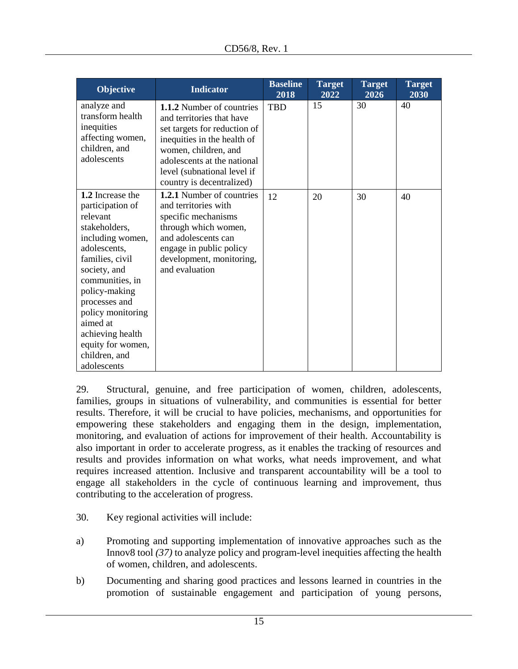| <b>Objective</b>                                                                                                                                                                                                                                                                                        | <b>Indicator</b>                                                                                                                                                                                                                         | <b>Baseline</b><br>2018 | <b>Target</b><br>2022 | <b>Target</b><br>2026 | <b>Target</b><br>2030 |
|---------------------------------------------------------------------------------------------------------------------------------------------------------------------------------------------------------------------------------------------------------------------------------------------------------|------------------------------------------------------------------------------------------------------------------------------------------------------------------------------------------------------------------------------------------|-------------------------|-----------------------|-----------------------|-----------------------|
| analyze and<br>transform health<br>inequities<br>affecting women,<br>children, and<br>adolescents                                                                                                                                                                                                       | 1.1.2 Number of countries<br>and territories that have<br>set targets for reduction of<br>inequities in the health of<br>women, children, and<br>adolescents at the national<br>level (subnational level if<br>country is decentralized) | <b>TBD</b>              | 15                    | 30                    | 40                    |
| 1.2 Increase the<br>participation of<br>relevant<br>stakeholders,<br>including women,<br>adolescents,<br>families, civil<br>society, and<br>communities, in<br>policy-making<br>processes and<br>policy monitoring<br>aimed at<br>achieving health<br>equity for women,<br>children, and<br>adolescents | 1.2.1 Number of countries<br>and territories with<br>specific mechanisms<br>through which women,<br>and adolescents can<br>engage in public policy<br>development, monitoring,<br>and evaluation                                         | 12                      | 20                    | 30                    | 40                    |

29. Structural, genuine, and free participation of women, children, adolescents, families, groups in situations of vulnerability, and communities is essential for better results. Therefore, it will be crucial to have policies, mechanisms, and opportunities for empowering these stakeholders and engaging them in the design, implementation, monitoring, and evaluation of actions for improvement of their health. Accountability is also important in order to accelerate progress, as it enables the tracking of resources and results and provides information on what works, what needs improvement, and what requires increased attention. Inclusive and transparent accountability will be a tool to engage all stakeholders in the cycle of continuous learning and improvement, thus contributing to the acceleration of progress.

- 30. Key regional activities will include:
- a) Promoting and supporting implementation of innovative approaches such as the Innov8 tool *(37)* to analyze policy and program-level inequities affecting the health of women, children, and adolescents.
- b) Documenting and sharing good practices and lessons learned in countries in the promotion of sustainable engagement and participation of young persons,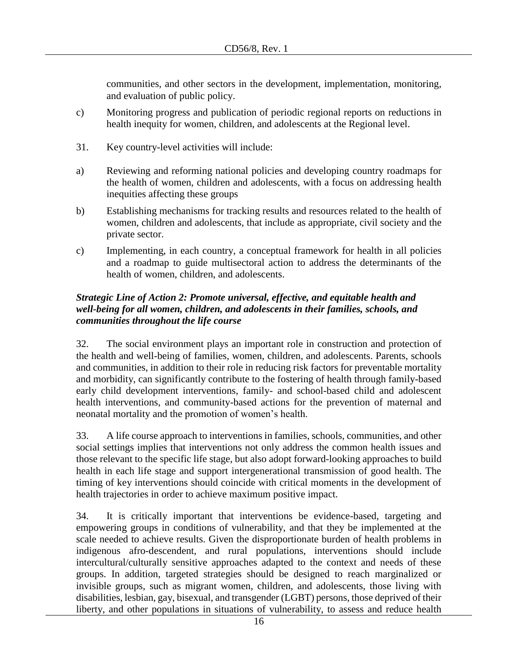communities, and other sectors in the development, implementation, monitoring, and evaluation of public policy.

- c) Monitoring progress and publication of periodic regional reports on reductions in health inequity for women, children, and adolescents at the Regional level.
- 31. Key country-level activities will include:
- a) Reviewing and reforming national policies and developing country roadmaps for the health of women, children and adolescents, with a focus on addressing health inequities affecting these groups
- b) Establishing mechanisms for tracking results and resources related to the health of women, children and adolescents, that include as appropriate, civil society and the private sector.
- c) Implementing, in each country, a conceptual framework for health in all policies and a roadmap to guide multisectoral action to address the determinants of the health of women, children, and adolescents.

## *Strategic Line of Action 2: Promote universal, effective, and equitable health and well-being for all women, children, and adolescents in their families, schools, and communities throughout the life course*

32. The social environment plays an important role in construction and protection of the health and well-being of families, women, children, and adolescents. Parents, schools and communities, in addition to their role in reducing risk factors for preventable mortality and morbidity, can significantly contribute to the fostering of health through family-based early child development interventions, family- and school-based child and adolescent health interventions, and community-based actions for the prevention of maternal and neonatal mortality and the promotion of women's health.

33. A life course approach to interventions in families, schools, communities, and other social settings implies that interventions not only address the common health issues and those relevant to the specific life stage, but also adopt forward-looking approaches to build health in each life stage and support intergenerational transmission of good health. The timing of key interventions should coincide with critical moments in the development of health trajectories in order to achieve maximum positive impact.

34. It is critically important that interventions be evidence-based, targeting and empowering groups in conditions of vulnerability, and that they be implemented at the scale needed to achieve results. Given the disproportionate burden of health problems in indigenous afro-descendent, and rural populations, interventions should include intercultural/culturally sensitive approaches adapted to the context and needs of these groups. In addition, targeted strategies should be designed to reach marginalized or invisible groups, such as migrant women, children, and adolescents, those living with disabilities, lesbian, gay, bisexual, and transgender (LGBT) persons, those deprived of their liberty, and other populations in situations of vulnerability, to assess and reduce health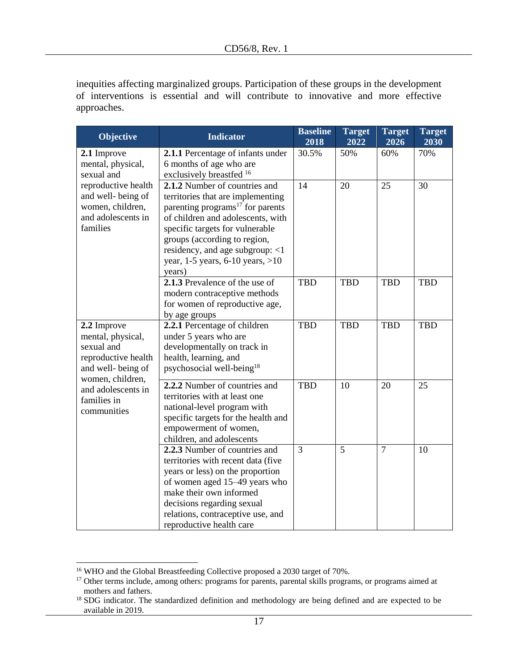inequities affecting marginalized groups. Participation of these groups in the development of interventions is essential and will contribute to innovative and more effective approaches.

| <b>Objective</b>                                                                                                                                                   | <b>Indicator</b>                                                                                                                                                                                                                                                                                                  | <b>Baseline</b><br>2018 | <b>Target</b><br>2022 | <b>Target</b><br>2026 | <b>Target</b><br>2030 |
|--------------------------------------------------------------------------------------------------------------------------------------------------------------------|-------------------------------------------------------------------------------------------------------------------------------------------------------------------------------------------------------------------------------------------------------------------------------------------------------------------|-------------------------|-----------------------|-----------------------|-----------------------|
| 2.1 Improve<br>mental, physical,<br>sexual and                                                                                                                     | 2.1.1 Percentage of infants under<br>6 months of age who are<br>exclusively breastfed 16                                                                                                                                                                                                                          | 30.5%                   | 50%                   | 60%                   | 70%                   |
| reproductive health<br>and well-being of<br>women, children,<br>and adolescents in<br>families                                                                     | 2.1.2 Number of countries and<br>territories that are implementing<br>parenting programs <sup>17</sup> for parents<br>of children and adolescents, with<br>specific targets for vulnerable<br>groups (according to region,<br>residency, and age subgroup: <1<br>year, $1-5$ years, $6-10$ years, $>10$<br>years) | 14                      | 20                    | 25                    | 30                    |
|                                                                                                                                                                    | 2.1.3 Prevalence of the use of<br>modern contraceptive methods<br>for women of reproductive age,<br>by age groups                                                                                                                                                                                                 | <b>TBD</b>              | <b>TBD</b>            | <b>TBD</b>            | <b>TBD</b>            |
| 2.2 Improve<br>mental, physical,<br>sexual and<br>reproductive health<br>and well-being of<br>women, children,<br>and adolescents in<br>families in<br>communities | 2.2.1 Percentage of children<br>under 5 years who are<br>developmentally on track in<br>health, learning, and<br>psychosocial well-being <sup>18</sup>                                                                                                                                                            | <b>TBD</b>              | <b>TBD</b>            | <b>TBD</b>            | <b>TBD</b>            |
|                                                                                                                                                                    | 2.2.2 Number of countries and<br>territories with at least one<br>national-level program with<br>specific targets for the health and<br>empowerment of women,<br>children, and adolescents                                                                                                                        | <b>TBD</b>              | 10                    | 20                    | 25                    |
|                                                                                                                                                                    | 2.2.3 Number of countries and<br>territories with recent data (five<br>years or less) on the proportion<br>of women aged 15–49 years who<br>make their own informed<br>decisions regarding sexual<br>relations, contraceptive use, and<br>reproductive health care                                                | $\overline{3}$          | 5                     | $\overline{7}$        | 10                    |

 $\overline{a}$ 

<sup>&</sup>lt;sup>16</sup> WHO and the Global Breastfeeding Collective proposed a 2030 target of 70%.

<sup>&</sup>lt;sup>17</sup> Other terms include, among others: programs for parents, parental skills programs, or programs aimed at mothers and fathers.

<sup>&</sup>lt;sup>18</sup> SDG indicator. The standardized definition and methodology are being defined and are expected to be available in 2019.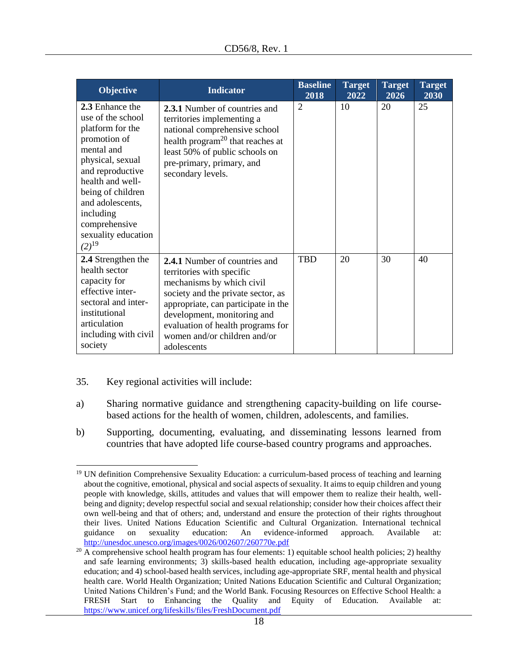| Objective                                                                                                                                                                                                                                                      | <b>Indicator</b>                                                                                                                                                                                                                                                                               | <b>Baseline</b><br>2018 | <b>Target</b><br>2022 | <b>Target</b><br>2026 | <b>Target</b><br>2030 |
|----------------------------------------------------------------------------------------------------------------------------------------------------------------------------------------------------------------------------------------------------------------|------------------------------------------------------------------------------------------------------------------------------------------------------------------------------------------------------------------------------------------------------------------------------------------------|-------------------------|-----------------------|-----------------------|-----------------------|
| 2.3 Enhance the<br>use of the school<br>platform for the<br>promotion of<br>mental and<br>physical, sexual<br>and reproductive<br>health and well-<br>being of children<br>and adolescents,<br>including<br>comprehensive<br>sexuality education<br>$(2)^{19}$ | <b>2.3.1</b> Number of countries and<br>territories implementing a<br>national comprehensive school<br>health program <sup>20</sup> that reaches at<br>least 50% of public schools on<br>pre-primary, primary, and<br>secondary levels.                                                        | $\overline{2}$          | 10                    | 20                    | 25                    |
| 2.4 Strengthen the<br>health sector<br>capacity for<br>effective inter-<br>sectoral and inter-<br>institutional<br>articulation<br>including with civil<br>society                                                                                             | <b>2.4.1</b> Number of countries and<br>territories with specific<br>mechanisms by which civil<br>society and the private sector, as<br>appropriate, can participate in the<br>development, monitoring and<br>evaluation of health programs for<br>women and/or children and/or<br>adolescents | <b>TBD</b>              | 20                    | 30                    | 40                    |

35. Key regional activities will include:

 $\overline{a}$ 

- a) Sharing normative guidance and strengthening capacity-building on life coursebased actions for the health of women, children, adolescents, and families.
- b) Supporting, documenting, evaluating, and disseminating lessons learned from countries that have adopted life course-based country programs and approaches.

<sup>&</sup>lt;sup>19</sup> UN definition Comprehensive Sexuality Education: a curriculum-based process of teaching and learning about the cognitive, emotional, physical and social aspects of sexuality. It aims to equip children and young people with knowledge, skills, attitudes and values that will empower them to realize their health, wellbeing and dignity; develop respectful social and sexual relationship; consider how their choices affect their own well-being and that of others; and, understand and ensure the protection of their rights throughout their lives. United Nations Education Scientific and Cultural Organization. International technical guidance on sexuality education: An evidence-informed approach. Available at: [http://unesdoc.unesco.org/images/0026/002607/260770e.pdf](https://na01.safelinks.protection.outlook.com/?url=http%3A%2F%2Funesdoc.unesco.org%2Fimages%2F0026%2F002607%2F260770e.pdf&data=02%7C01%7C%7Cd9b433f56a3d4d1585ad08d60c66c36b%7Ce610e79c2ec04e0f8a141e4b101519f7%7C0%7C0%7C636710032825816315&sdata=WCXSJdHc10rSW2GSMdRLh%2F5HMDKWOjshdDx4WUnugB4%3D&reserved=0)

 $^{20}$  A comprehensive school health program has four elements: 1) equitable school health policies; 2) healthy and safe learning environments; 3) skills-based health education, including age-appropriate sexuality education; and 4) school-based health services, including age-appropriate SRF, mental health and physical health care. World Health Organization; United Nations Education Scientific and Cultural Organization; United Nations Children's Fund; and the World Bank. Focusing Resources on Effective School Health: a FRESH Start to Enhancing the Quality and Equity of Education. Available at: [https://www.unicef.org/lifeskills/files/FreshDocument.pdf](https://na01.safelinks.protection.outlook.com/?url=https%3A%2F%2Fwww.unicef.org%2Flifeskills%2Ffiles%2FFreshDocument.pdf&data=02%7C01%7C%7Cd9b433f56a3d4d1585ad08d60c66c36b%7Ce610e79c2ec04e0f8a141e4b101519f7%7C0%7C0%7C636710032825816315&sdata=1YSghvQGb1%2ByLCLfIQROCLeRKc8U23UAe2Z5KAutDAk%3D&reserved=0)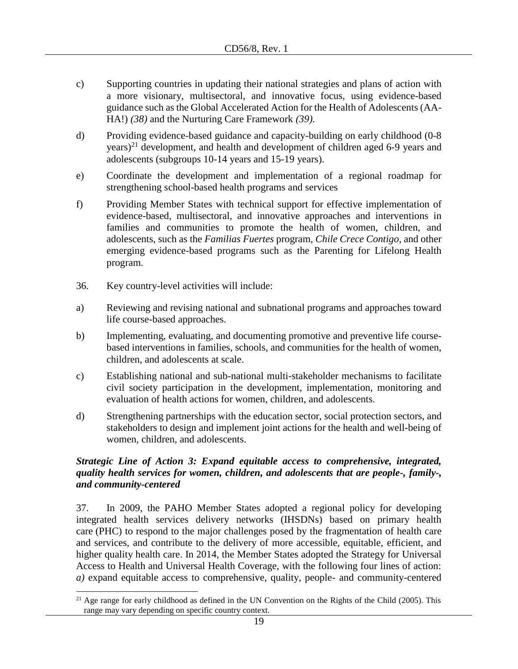- c) Supporting countries in updating their national strategies and plans of action with a more visionary, multisectoral, and innovative focus, using evidence-based guidance such as the Global Accelerated Action for the Health of Adolescents (AA-HA!) *(38)* and the Nurturing Care Framework *(39).*
- d) Providing evidence-based guidance and capacity-building on early childhood (0-8 years)<sup>21</sup> development, and health and development of children aged 6-9 years and adolescents (subgroups 10-14 years and 15-19 years).
- e) Coordinate the development and implementation of a regional roadmap for strengthening school-based health programs and services
- f) Providing Member States with technical support for effective implementation of evidence-based, multisectoral, and innovative approaches and interventions in families and communities to promote the health of women, children, and adolescents, such as the *Familias Fuertes* program, *Chile Crece Contigo*, and other emerging evidence-based programs such as the Parenting for Lifelong Health program.
- 36. Key country-level activities will include:
- a) Reviewing and revising national and subnational programs and approaches toward life course-based approaches.
- b) Implementing, evaluating, and documenting promotive and preventive life coursebased interventions in families, schools, and communities for the health of women, children, and adolescents at scale.
- c) Establishing national and sub-national multi-stakeholder mechanisms to facilitate civil society participation in the development, implementation, monitoring and evaluation of health actions for women, children, and adolescents.
- d) Strengthening partnerships with the education sector, social protection sectors, and stakeholders to design and implement joint actions for the health and well-being of women, children, and adolescents.

## *Strategic Line of Action 3: Expand equitable access to comprehensive, integrated, quality health services for women, children, and adolescents that are people-, family-, and community-centered*

37. In 2009, the PAHO Member States adopted a regional policy for developing integrated health services delivery networks (IHSDNs) based on primary health care (PHC) to respond to the major challenges posed by the fragmentation of health care and services, and contribute to the delivery of more accessible, equitable, efficient, and higher quality health care. In 2014, the Member States adopted the Strategy for Universal Access to Health and Universal Health Coverage, with the following four lines of action: *a)* expand equitable access to comprehensive, quality, people- and community-centered

 $\overline{a}$ <sup>21</sup> Age range for early childhood as defined in the UN Convention on the Rights of the Child (2005). This range may vary depending on specific country context.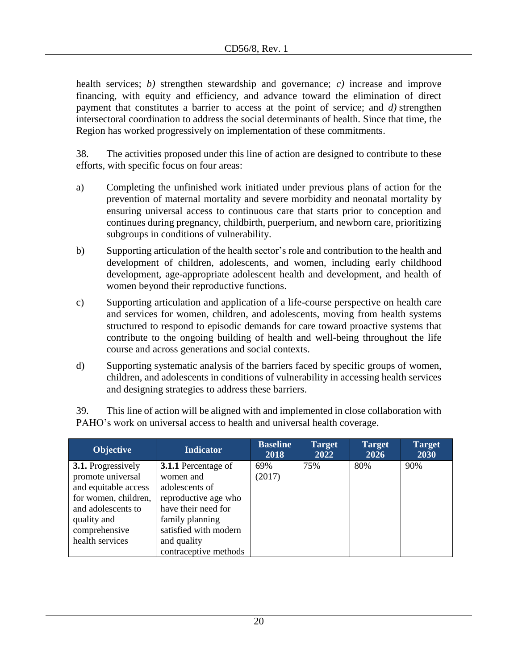health services; *b)* strengthen stewardship and governance; *c)* increase and improve financing, with equity and efficiency, and advance toward the elimination of direct payment that constitutes a barrier to access at the point of service; and *d)* strengthen intersectoral coordination to address the social determinants of health. Since that time, the Region has worked progressively on implementation of these commitments.

38. The activities proposed under this line of action are designed to contribute to these efforts, with specific focus on four areas:

- a) Completing the unfinished work initiated under previous plans of action for the prevention of maternal mortality and severe morbidity and neonatal mortality by ensuring universal access to continuous care that starts prior to conception and continues during pregnancy, childbirth, puerperium, and newborn care, prioritizing subgroups in conditions of vulnerability.
- b) Supporting articulation of the health sector's role and contribution to the health and development of children, adolescents, and women, including early childhood development, age-appropriate adolescent health and development, and health of women beyond their reproductive functions.
- c) Supporting articulation and application of a life-course perspective on health care and services for women, children, and adolescents, moving from health systems structured to respond to episodic demands for care toward proactive systems that contribute to the ongoing building of health and well-being throughout the life course and across generations and social contexts.
- d) Supporting systematic analysis of the barriers faced by specific groups of women, children, and adolescents in conditions of vulnerability in accessing health services and designing strategies to address these barriers.

| <b>Objective</b>          | <b>Indicator</b>           | <b>Baseline</b><br>2018 | <b>Target</b><br>2022 | <b>Target</b><br>2026 | <b>Target</b><br>2030 |
|---------------------------|----------------------------|-------------------------|-----------------------|-----------------------|-----------------------|
| <b>3.1.</b> Progressively | <b>3.1.1</b> Percentage of | 69%                     | 75%                   | 80%                   | 90%                   |
| promote universal         | women and                  | (2017)                  |                       |                       |                       |
| and equitable access      | adolescents of             |                         |                       |                       |                       |
| for women, children,      | reproductive age who       |                         |                       |                       |                       |
| and adolescents to        | have their need for        |                         |                       |                       |                       |
| quality and               | family planning            |                         |                       |                       |                       |
| comprehensive             | satisfied with modern      |                         |                       |                       |                       |
| health services           | and quality                |                         |                       |                       |                       |
|                           | contraceptive methods      |                         |                       |                       |                       |

39. This line of action will be aligned with and implemented in close collaboration with PAHO's work on universal access to health and universal health coverage.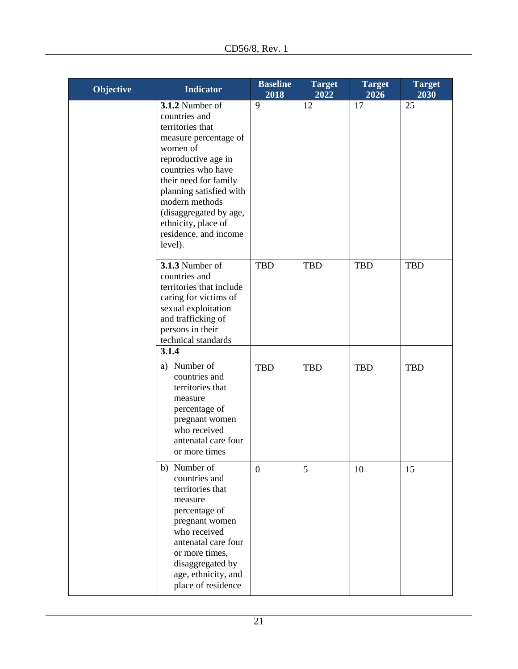| Objective | <b>Indicator</b>                                                                                                                                                                                                                                                                                  | <b>Baseline</b><br>2018 | <b>Target</b><br>2022 | <b>Target</b><br>2026 | <b>Target</b><br>2030 |
|-----------|---------------------------------------------------------------------------------------------------------------------------------------------------------------------------------------------------------------------------------------------------------------------------------------------------|-------------------------|-----------------------|-----------------------|-----------------------|
|           | 3.1.2 Number of<br>countries and<br>territories that<br>measure percentage of<br>women of<br>reproductive age in<br>countries who have<br>their need for family<br>planning satisfied with<br>modern methods<br>(disaggregated by age,<br>ethnicity, place of<br>residence, and income<br>level). | 9                       | 12                    | 17                    | 25                    |
|           | <b>3.1.3</b> Number of<br>countries and<br>territories that include<br>caring for victims of<br>sexual exploitation<br>and trafficking of<br>persons in their<br>technical standards                                                                                                              | <b>TBD</b>              | <b>TBD</b>            | TBD                   | <b>TBD</b>            |
|           | 3.1.4<br>a) Number of<br>countries and<br>territories that<br>measure<br>percentage of<br>pregnant women<br>who received<br>antenatal care four<br>or more times                                                                                                                                  | <b>TBD</b>              | <b>TBD</b>            | <b>TBD</b>            | <b>TBD</b>            |
|           | b) Number of<br>countries and<br>territories that<br>measure<br>percentage of<br>pregnant women<br>who received<br>antenatal care four<br>or more times,<br>disaggregated by<br>age, ethnicity, and<br>place of residence                                                                         | $\overline{0}$          | 5                     | 10                    | 15                    |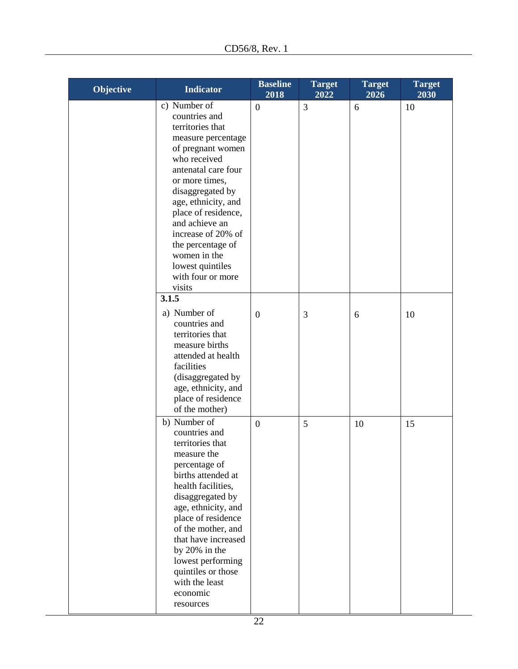| Objective | <b>Indicator</b>                                                                                                                                                                                                                                                                                                                                        | <b>Baseline</b><br>2018 | <b>Target</b><br>2022 | <b>Target</b><br>2026 | <b>Target</b><br>2030 |
|-----------|---------------------------------------------------------------------------------------------------------------------------------------------------------------------------------------------------------------------------------------------------------------------------------------------------------------------------------------------------------|-------------------------|-----------------------|-----------------------|-----------------------|
|           | c) Number of<br>countries and<br>territories that<br>measure percentage<br>of pregnant women<br>who received<br>antenatal care four<br>or more times,<br>disaggregated by<br>age, ethnicity, and<br>place of residence,<br>and achieve an<br>increase of 20% of<br>the percentage of<br>women in the<br>lowest quintiles<br>with four or more<br>visits | $\mathbf{0}$            | 3                     | 6                     | 10                    |
|           | 3.1.5<br>a) Number of<br>countries and<br>territories that<br>measure births<br>attended at health<br>facilities<br>(disaggregated by<br>age, ethnicity, and<br>place of residence<br>of the mother)                                                                                                                                                    | $\mathbf{0}$            | 3                     | 6                     | 10                    |
|           | b) Number of<br>countries and<br>territories that<br>measure the<br>percentage of<br>births attended at<br>health facilities,<br>disaggregated by<br>age, ethnicity, and<br>place of residence<br>of the mother, and<br>that have increased<br>by 20% in the<br>lowest performing<br>quintiles or those<br>with the least<br>economic<br>resources      | $\overline{0}$          | 5                     | 10                    | 15                    |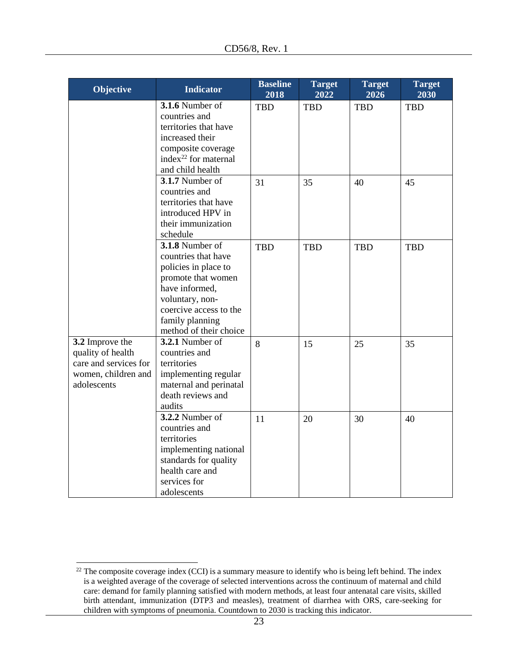| Objective                                                                                           | <b>Indicator</b>                                                                                                                                                                                 | <b>Baseline</b><br>2018 | <b>Target</b><br>2022 | <b>Target</b><br>2026 | <b>Target</b><br>2030 |
|-----------------------------------------------------------------------------------------------------|--------------------------------------------------------------------------------------------------------------------------------------------------------------------------------------------------|-------------------------|-----------------------|-----------------------|-----------------------|
|                                                                                                     | <b>3.1.6 Number of</b><br>countries and<br>territories that have<br>increased their<br>composite coverage<br>index <sup>22</sup> for maternal<br>and child health                                | <b>TBD</b>              | <b>TBD</b>            | <b>TBD</b>            | <b>TBD</b>            |
| 3.2 Improve the<br>quality of health<br>care and services for<br>women, children and<br>adolescents | 3.1.7 Number of<br>countries and<br>territories that have<br>introduced HPV in<br>their immunization<br>schedule                                                                                 | 31                      | 35                    | 40                    | 45                    |
|                                                                                                     | 3.1.8 Number of<br>countries that have<br>policies in place to<br>promote that women<br>have informed,<br>voluntary, non-<br>coercive access to the<br>family planning<br>method of their choice | <b>TBD</b>              | <b>TBD</b>            | <b>TBD</b>            | <b>TBD</b>            |
|                                                                                                     | 3.2.1 Number of<br>countries and<br>territories<br>implementing regular<br>maternal and perinatal<br>death reviews and<br>audits                                                                 | 8                       | 15                    | 25                    | 35                    |
|                                                                                                     | 3.2.2 Number of<br>countries and<br>territories<br>implementing national<br>standards for quality<br>health care and<br>services for<br>adolescents                                              | 11                      | 20                    | 30                    | 40                    |

 $\overline{a}$ 

 $22$  The composite coverage index (CCI) is a summary measure to identify who is being left behind. The index is a weighted average of the coverage of selected interventions across the continuum of maternal and child care: demand for family planning satisfied with modern methods, at least four antenatal care visits, skilled birth attendant, immunization (DTP3 and measles), treatment of diarrhea with ORS, care-seeking for children with symptoms of pneumonia. Countdown to 2030 is tracking this indicator.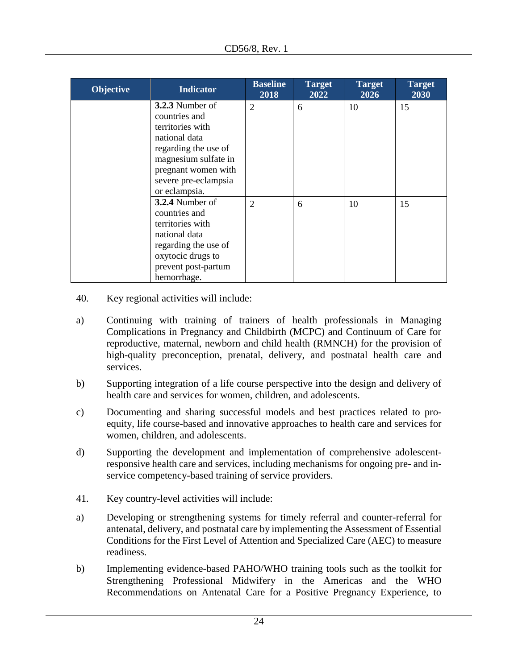| <b>Objective</b> | <b>Indicator</b>     | <b>Baseline</b><br>2018 | <b>Target</b><br>2022 | <b>Target</b><br>2026 | <b>Target</b><br>2030 |
|------------------|----------------------|-------------------------|-----------------------|-----------------------|-----------------------|
|                  | 3.2.3 Number of      | 2                       | 6                     | 10                    | 15                    |
|                  | countries and        |                         |                       |                       |                       |
|                  | territories with     |                         |                       |                       |                       |
|                  | national data        |                         |                       |                       |                       |
|                  | regarding the use of |                         |                       |                       |                       |
|                  | magnesium sulfate in |                         |                       |                       |                       |
|                  | pregnant women with  |                         |                       |                       |                       |
|                  | severe pre-eclampsia |                         |                       |                       |                       |
|                  | or eclampsia.        |                         |                       |                       |                       |
|                  | 3.2.4 Number of      | $\overline{2}$          | 6                     | 10                    | 15                    |
|                  | countries and        |                         |                       |                       |                       |
|                  | territories with     |                         |                       |                       |                       |
|                  | national data        |                         |                       |                       |                       |
|                  | regarding the use of |                         |                       |                       |                       |
|                  | oxytocic drugs to    |                         |                       |                       |                       |
|                  | prevent post-partum  |                         |                       |                       |                       |
|                  | hemorrhage.          |                         |                       |                       |                       |

- 40. Key regional activities will include:
- a) Continuing with training of trainers of health professionals in Managing Complications in Pregnancy and Childbirth (MCPC) and Continuum of Care for reproductive, maternal, newborn and child health (RMNCH) for the provision of high-quality preconception, prenatal, delivery, and postnatal health care and services.
- b) Supporting integration of a life course perspective into the design and delivery of health care and services for women, children, and adolescents.
- c) Documenting and sharing successful models and best practices related to proequity, life course-based and innovative approaches to health care and services for women, children, and adolescents.
- d) Supporting the development and implementation of comprehensive adolescentresponsive health care and services, including mechanisms for ongoing pre- and inservice competency-based training of service providers.
- 41. Key country-level activities will include:
- a) Developing or strengthening systems for timely referral and counter-referral for antenatal, delivery, and postnatal care by implementing the Assessment of Essential Conditions for the First Level of Attention and Specialized Care (AEC) to measure readiness.
- b) Implementing evidence-based PAHO/WHO training tools such as the toolkit for Strengthening Professional Midwifery in the Americas and the WHO Recommendations on Antenatal Care for a Positive Pregnancy Experience, to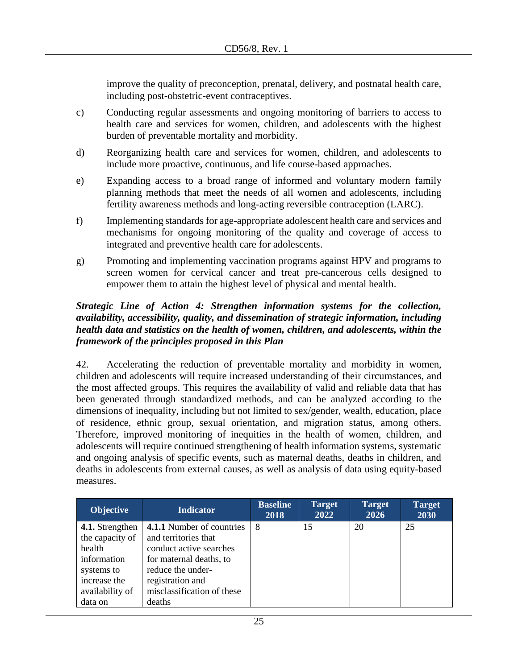improve the quality of preconception, prenatal, delivery, and postnatal health care, including post-obstetric-event contraceptives.

- c) Conducting regular assessments and ongoing monitoring of barriers to access to health care and services for women, children, and adolescents with the highest burden of preventable mortality and morbidity.
- d) Reorganizing health care and services for women, children, and adolescents to include more proactive, continuous, and life course-based approaches.
- e) Expanding access to a broad range of informed and voluntary modern family planning methods that meet the needs of all women and adolescents, including fertility awareness methods and long-acting reversible contraception (LARC).
- f) Implementing standards for age-appropriate adolescent health care and services and mechanisms for ongoing monitoring of the quality and coverage of access to integrated and preventive health care for adolescents.
- g) Promoting and implementing vaccination programs against HPV and programs to screen women for cervical cancer and treat pre-cancerous cells designed to empower them to attain the highest level of physical and mental health.

## *Strategic Line of Action 4: Strengthen information systems for the collection, availability, accessibility, quality, and dissemination of strategic information, including health data and statistics on the health of women, children, and adolescents, within the framework of the principles proposed in this Plan*

42. Accelerating the reduction of preventable mortality and morbidity in women, children and adolescents will require increased understanding of their circumstances, and the most affected groups. This requires the availability of valid and reliable data that has been generated through standardized methods, and can be analyzed according to the dimensions of inequality, including but not limited to sex/gender, wealth, education, place of residence, ethnic group, sexual orientation, and migration status, among others. Therefore, improved monitoring of inequities in the health of women, children, and adolescents will require continued strengthening of health information systems, systematic and ongoing analysis of specific events, such as maternal deaths, deaths in children, and deaths in adolescents from external causes, as well as analysis of data using equity-based measures.

| <b>Objective</b> | <b>Indicator</b>                 | <b>Baseline</b><br>2018 | <b>Target</b><br>2022 | <b>Target</b><br>2026 | <b>Target</b><br>2030 |
|------------------|----------------------------------|-------------------------|-----------------------|-----------------------|-----------------------|
| 4.1. Strengthen  | <b>4.1.1</b> Number of countries | 8                       | 15                    | 20                    | 25                    |
| the capacity of  | and territories that             |                         |                       |                       |                       |
| health           | conduct active searches          |                         |                       |                       |                       |
| information      | for maternal deaths, to          |                         |                       |                       |                       |
| systems to       | reduce the under-                |                         |                       |                       |                       |
| increase the     | registration and                 |                         |                       |                       |                       |
| availability of  | misclassification of these       |                         |                       |                       |                       |
| data on          | deaths                           |                         |                       |                       |                       |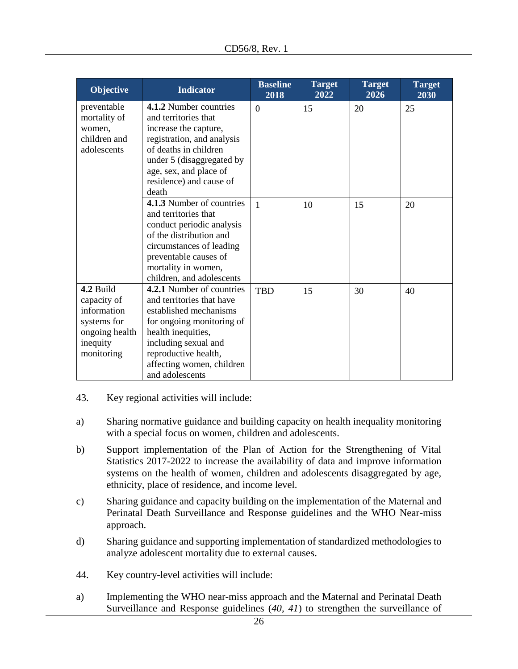| <b>Objective</b> | <b>Indicator</b>           | <b>Baseline</b><br>2018 | <b>Target</b><br>2022 | <b>Target</b><br>2026 | <b>Target</b><br>2030 |
|------------------|----------------------------|-------------------------|-----------------------|-----------------------|-----------------------|
| preventable      | 4.1.2 Number countries     | $\overline{0}$          | 15                    | 20                    | 25                    |
| mortality of     | and territories that       |                         |                       |                       |                       |
| women,           | increase the capture,      |                         |                       |                       |                       |
| children and     | registration, and analysis |                         |                       |                       |                       |
| adolescents      | of deaths in children      |                         |                       |                       |                       |
|                  | under 5 (disaggregated by  |                         |                       |                       |                       |
|                  | age, sex, and place of     |                         |                       |                       |                       |
|                  | residence) and cause of    |                         |                       |                       |                       |
|                  | death                      |                         |                       |                       |                       |
|                  | 4.1.3 Number of countries  | $\mathbf{1}$            | 10                    | 15                    | 20                    |
|                  | and territories that       |                         |                       |                       |                       |
|                  | conduct periodic analysis  |                         |                       |                       |                       |
|                  | of the distribution and    |                         |                       |                       |                       |
|                  | circumstances of leading   |                         |                       |                       |                       |
|                  | preventable causes of      |                         |                       |                       |                       |
|                  | mortality in women,        |                         |                       |                       |                       |
|                  | children, and adolescents  |                         |                       |                       |                       |
| 4.2 Build        | 4.2.1 Number of countries  | <b>TBD</b>              | 15                    | 30                    | 40                    |
| capacity of      | and territories that have  |                         |                       |                       |                       |
| information      | established mechanisms     |                         |                       |                       |                       |
| systems for      | for ongoing monitoring of  |                         |                       |                       |                       |
| ongoing health   | health inequities,         |                         |                       |                       |                       |
| inequity         | including sexual and       |                         |                       |                       |                       |
| monitoring       | reproductive health,       |                         |                       |                       |                       |
|                  | affecting women, children  |                         |                       |                       |                       |
|                  | and adolescents            |                         |                       |                       |                       |

- 43. Key regional activities will include:
- a) Sharing normative guidance and building capacity on health inequality monitoring with a special focus on women, children and adolescents.
- b) Support implementation of the Plan of Action for the Strengthening of Vital Statistics 2017-2022 to increase the availability of data and improve information systems on the health of women, children and adolescents disaggregated by age, ethnicity, place of residence, and income level.
- c) Sharing guidance and capacity building on the implementation of the Maternal and Perinatal Death Surveillance and Response guidelines and the WHO Near-miss approach.
- d) Sharing guidance and supporting implementation of standardized methodologies to analyze adolescent mortality due to external causes.
- 44. Key country-level activities will include:
- a) Implementing the WHO near-miss approach and the Maternal and Perinatal Death Surveillance and Response guidelines (*40, 41*) to strengthen the surveillance of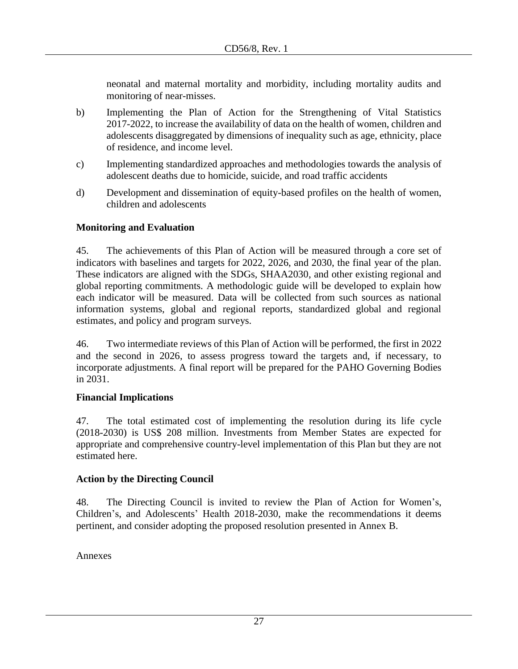neonatal and maternal mortality and morbidity, including mortality audits and monitoring of near-misses.

- b) Implementing the Plan of Action for the Strengthening of Vital Statistics 2017-2022, to increase the availability of data on the health of women, children and adolescents disaggregated by dimensions of inequality such as age, ethnicity, place of residence, and income level.
- c) Implementing standardized approaches and methodologies towards the analysis of adolescent deaths due to homicide, suicide, and road traffic accidents
- d) Development and dissemination of equity-based profiles on the health of women, children and adolescents

## **Monitoring and Evaluation**

45. The achievements of this Plan of Action will be measured through a core set of indicators with baselines and targets for 2022, 2026, and 2030, the final year of the plan. These indicators are aligned with the SDGs, SHAA2030, and other existing regional and global reporting commitments. A methodologic guide will be developed to explain how each indicator will be measured. Data will be collected from such sources as national information systems, global and regional reports, standardized global and regional estimates, and policy and program surveys.

46. Two intermediate reviews of this Plan of Action will be performed, the first in 2022 and the second in 2026, to assess progress toward the targets and, if necessary, to incorporate adjustments. A final report will be prepared for the PAHO Governing Bodies in 2031.

## **Financial Implications**

47. The total estimated cost of implementing the resolution during its life cycle (2018-2030) is US\$ 208 million. Investments from Member States are expected for appropriate and comprehensive country-level implementation of this Plan but they are not estimated here.

## **Action by the Directing Council**

48. The Directing Council is invited to review the Plan of Action for Women's, Children's, and Adolescents' Health 2018-2030, make the recommendations it deems pertinent, and consider adopting the proposed resolution presented in Annex B.

Annexes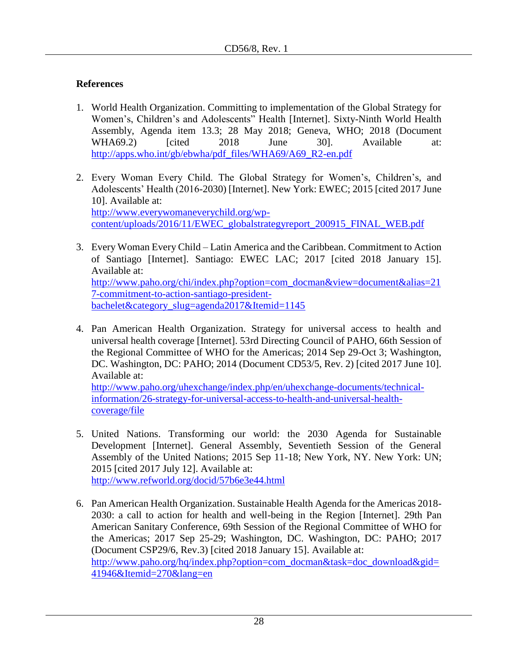# **References**

- 1. World Health Organization. Committing to implementation of the Global Strategy for Women's, Children's and Adolescents" Health [Internet]. Sixty-Ninth World Health Assembly, Agenda item 13.3; 28 May 2018; Geneva, WHO; 2018 (Document WHA69.2) [cited 2018 June 30]. Available at: [http://apps.who.int/gb/ebwha/pdf\\_files/WHA69/A69\\_R2-en.pdf](http://apps.who.int/gb/ebwha/pdf_files/WHA69/A69_R2-en.pdf)
- 2. Every Woman Every Child. The Global Strategy for Women's, Children's, and Adolescents' Health (2016-2030) [Internet]. New York: EWEC; 2015 [cited 2017 June 10]. Available at: [http://www.everywomaneverychild.org/wp](http://www.everywomaneverychild.org/wp-content/uploads/2016/11/EWEC_globalstrategyreport_200915_FINAL_WEB.pdf)[content/uploads/2016/11/EWEC\\_globalstrategyreport\\_200915\\_FINAL\\_WEB.pdf](http://www.everywomaneverychild.org/wp-content/uploads/2016/11/EWEC_globalstrategyreport_200915_FINAL_WEB.pdf)
- 3. Every Woman Every Child Latin America and the Caribbean. Commitment to Action of Santiago [Internet]. Santiago: EWEC LAC; 2017 [cited 2018 January 15]. Available at: [http://www.paho.org/chi/index.php?option=com\\_docman&view=document&alias=21](http://www.paho.org/chi/index.php?option=com_docman&view=document&alias=217-commitment-to-action-santiago-president-bachelet&category_slug=agenda2017&Itemid=1145) [7-commitment-to-action-santiago-president](http://www.paho.org/chi/index.php?option=com_docman&view=document&alias=217-commitment-to-action-santiago-president-bachelet&category_slug=agenda2017&Itemid=1145)[bachelet&category\\_slug=agenda2017&Itemid=1145](http://www.paho.org/chi/index.php?option=com_docman&view=document&alias=217-commitment-to-action-santiago-president-bachelet&category_slug=agenda2017&Itemid=1145)
- 4. Pan American Health Organization. Strategy for universal access to health and universal health coverage [Internet]. 53rd Directing Council of PAHO, 66th Session of the Regional Committee of WHO for the Americas; 2014 Sep 29-Oct 3; Washington, DC. Washington, DC: PAHO; 2014 (Document CD53/5, Rev. 2) [cited 2017 June 10]. Available at: [http://www.paho.org/uhexchange/index.php/en/uhexchange-documents/technical](http://www.paho.org/uhexchange/index.php/en/uhexchange-documents/technical-information/26-strategy-for-universal-access-to-health-and-universal-health-coverage/file)[information/26-strategy-for-universal-access-to-health-and-universal-health-](http://www.paho.org/uhexchange/index.php/en/uhexchange-documents/technical-information/26-strategy-for-universal-access-to-health-and-universal-health-coverage/file)

[coverage/file](http://www.paho.org/uhexchange/index.php/en/uhexchange-documents/technical-information/26-strategy-for-universal-access-to-health-and-universal-health-coverage/file)

- 5. United Nations. Transforming our world: the 2030 Agenda for Sustainable Development [Internet]. General Assembly, Seventieth Session of the General Assembly of the United Nations; 2015 Sep 11-18; New York, NY. New York: UN; 2015 [cited 2017 July 12]. Available at: <http://www.refworld.org/docid/57b6e3e44.html>
- 6. Pan American Health Organization. Sustainable Health Agenda for the Americas 2018- 2030: a call to action for health and well-being in the Region [Internet]. 29th Pan American Sanitary Conference, 69th Session of the Regional Committee of WHO for the Americas; 2017 Sep 25-29; Washington, DC. Washington, DC: PAHO; 2017 (Document CSP29/6, Rev.3) [cited 2018 January 15]. Available at: [http://www.paho.org/hq/index.php?option=com\\_docman&task=doc\\_download&gid=](http://www.paho.org/hq/index.php?option=com_docman&task=doc_download&gid=41946&Itemid=270&lang=en) [41946&Itemid=270&lang=en](http://www.paho.org/hq/index.php?option=com_docman&task=doc_download&gid=41946&Itemid=270&lang=en)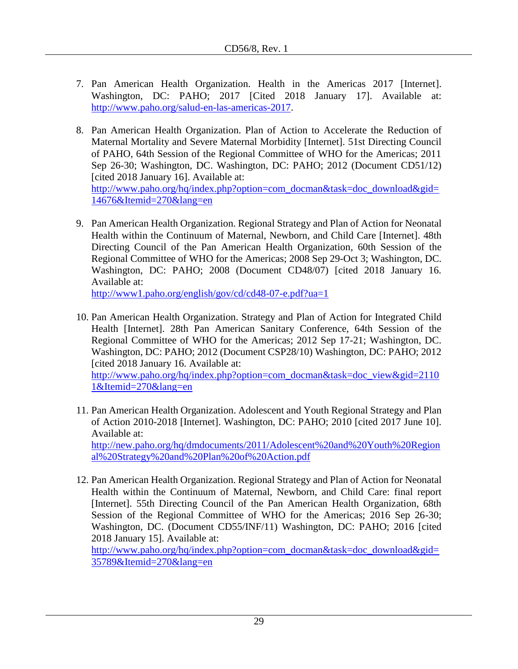- 7. Pan American Health Organization. Health in the Americas 2017 [Internet]. Washington, DC: PAHO; 2017 [Cited 2018 January 17]. Available at: [http://www.paho.org/salud-en-las-americas-2017.](http://www.paho.org/salud-en-las-americas-2017)
- 8. Pan American Health Organization. Plan of Action to Accelerate the Reduction of Maternal Mortality and Severe Maternal Morbidity [Internet]. 51st Directing Council of PAHO, 64th Session of the Regional Committee of WHO for the Americas; 2011 Sep 26-30; Washington, DC. Washington, DC: PAHO; 2012 (Document CD51/12) [cited 2018 January 16]. Available at: [http://www.paho.org/hq/index.php?option=com\\_docman&task=doc\\_download&gid=](http://www.paho.org/hq/index.php?option=com_docman&task=doc_download&gid=14676&Itemid=270&lang=en) [14676&Itemid=270&lang=en](http://www.paho.org/hq/index.php?option=com_docman&task=doc_download&gid=14676&Itemid=270&lang=en)
- 9. Pan American Health Organization. Regional Strategy and Plan of Action for Neonatal Health within the Continuum of Maternal, Newborn, and Child Care [Internet]. 48th Directing Council of the Pan American Health Organization, 60th Session of the Regional Committee of WHO for the Americas; 2008 Sep 29-Oct 3; Washington, DC. Washington, DC: PAHO; 2008 (Document CD48/07) [cited 2018 January 16. Available at:

<http://www1.paho.org/english/gov/cd/cd48-07-e.pdf?ua=1>

10. Pan American Health Organization. Strategy and Plan of Action for Integrated Child Health [Internet]. 28th Pan American Sanitary Conference, 64th Session of the Regional Committee of WHO for the Americas; 2012 Sep 17-21; Washington, DC. Washington, DC: PAHO; 2012 (Document CSP28/10) Washington, DC: PAHO; 2012 [cited 2018 January 16. Available at:

[http://www.paho.org/hq/index.php?option=com\\_docman&task=doc\\_view&gid=2110](http://www.paho.org/hq/index.php?option=com_docman&task=doc_view&gid=21101&Itemid=270&lang=en) [1&Itemid=270&lang=en](http://www.paho.org/hq/index.php?option=com_docman&task=doc_view&gid=21101&Itemid=270&lang=en)

- 11. Pan American Health Organization. Adolescent and Youth Regional Strategy and Plan of Action 2010-2018 [Internet]. Washington, DC: PAHO; 2010 [cited 2017 June 10]. Available at: [http://new.paho.org/hq/dmdocuments/2011/Adolescent%20and%20Youth%20Region](http://new.paho.org/hq/dmdocuments/2011/Adolescent%20and%20Youth%20Regional%20Strategy%20and%20Plan%20of%20Action.pdf) [al%20Strategy%20and%20Plan%20of%20Action.pdf](http://new.paho.org/hq/dmdocuments/2011/Adolescent%20and%20Youth%20Regional%20Strategy%20and%20Plan%20of%20Action.pdf)
- 12. Pan American Health Organization. Regional Strategy and Plan of Action for Neonatal Health within the Continuum of Maternal, Newborn, and Child Care: final report [Internet]. 55th Directing Council of the Pan American Health Organization, 68th Session of the Regional Committee of WHO for the Americas; 2016 Sep 26-30; Washington, DC. (Document CD55/INF/11) Washington, DC: PAHO; 2016 [cited 2018 January 15]. Available at:

[http://www.paho.org/hq/index.php?option=com\\_docman&task=doc\\_download&gid=](http://www.paho.org/hq/index.php?option=com_docman&task=doc_download&gid=35789&Itemid=270&lang=en) [35789&Itemid=270&lang=en](http://www.paho.org/hq/index.php?option=com_docman&task=doc_download&gid=35789&Itemid=270&lang=en)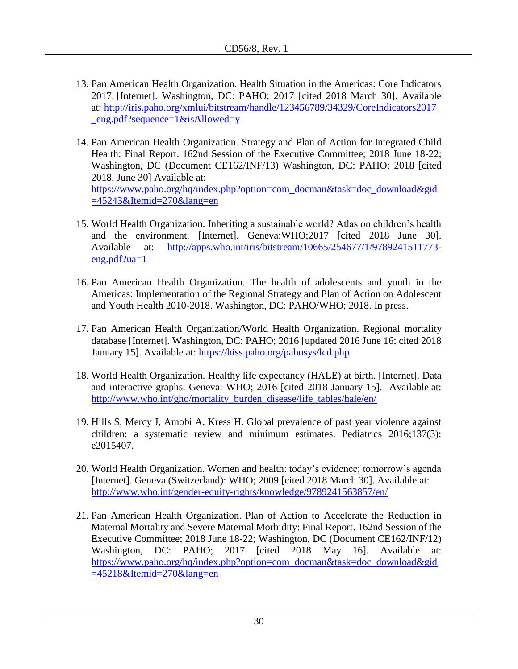- 13. Pan American Health Organization. Health Situation in the Americas: Core Indicators 2017. [Internet]. Washington, DC: PAHO; 2017 [cited 2018 March 30]. Available at: [http://iris.paho.org/xmlui/bitstream/handle/123456789/34329/CoreIndicators2017](http://iris.paho.org/xmlui/bitstream/handle/123456789/34329/CoreIndicators2017_eng.pdf?sequence=1&isAllowed=y) [\\_eng.pdf?sequence=1&isAllowed=y](http://iris.paho.org/xmlui/bitstream/handle/123456789/34329/CoreIndicators2017_eng.pdf?sequence=1&isAllowed=y)
- 14. Pan American Health Organization. Strategy and Plan of Action for Integrated Child Health: Final Report. 162nd Session of the Executive Committee; 2018 June 18-22; Washington, DC (Document CE162/INF/13) Washington, DC: PAHO; 2018 [cited 2018, June 30] Available at: [https://www.paho.org/hq/index.php?option=com\\_docman&task=doc\\_download&gid](https://www.paho.org/hq/index.php?option=com_docman&task=doc_download&gid=45243&Itemid=270&lang=en)  $=45243\&$ Itemid $=270\&$ lang=en
- 15. World Health Organization. Inheriting a sustainable world? Atlas on children's health and the environment. [Internet]. Geneva:WHO;2017 [cited 2018 June 30]. Available at: [http://apps.who.int/iris/bitstream/10665/254677/1/9789241511773](http://apps.who.int/iris/bitstream/10665/254677/1/9789241511773-eng.pdf?ua=1) [eng.pdf?ua=1](http://apps.who.int/iris/bitstream/10665/254677/1/9789241511773-eng.pdf?ua=1)
- 16. Pan American Health Organization. The health of adolescents and youth in the Americas: Implementation of the Regional Strategy and Plan of Action on Adolescent and Youth Health 2010-2018. Washington, DC: PAHO/WHO; 2018. In press.
- 17. Pan American Health Organization/World Health Organization. Regional mortality database [Internet]. Washington, DC: PAHO; 2016 [updated 2016 June 16; cited 2018 January 15]. Available at:<https://hiss.paho.org/pahosys/lcd.php>
- 18. World Health Organization. Healthy life expectancy (HALE) at birth. [Internet]. Data and interactive graphs. Geneva: WHO; 2016 [cited 2018 January 15]. Available at: [http://www.who.int/gho/mortality\\_burden\\_disease/life\\_tables/hale/en/](http://www.who.int/gho/mortality_burden_disease/life_tables/hale/en/)
- 19. Hills S, Mercy J, Amobi A, Kress H. Global prevalence of past year violence against children: a systematic review and minimum estimates. Pediatrics 2016;137(3): e2015407.
- 20. World Health Organization. Women and health: today's evidence; tomorrow's agenda [Internet]. Geneva (Switzerland): WHO; 2009 [cited 2018 March 30]. Available at: <http://www.who.int/gender-equity-rights/knowledge/9789241563857/en/>
- 21. Pan American Health Organization. Plan of Action to Accelerate the Reduction in Maternal Mortality and Severe Maternal Morbidity: Final Report. 162nd Session of the Executive Committee; 2018 June 18-22; Washington, DC (Document CE162/INF/12) Washington, DC: PAHO; 2017 [cited 2018 May 16]. Available at: [https://www.paho.org/hq/index.php?option=com\\_docman&task=doc\\_download&gid](https://www.paho.org/hq/index.php?option=com_docman&task=doc_download&gid=45218&Itemid=270&lang=en)  $=45218\&$ Itemid $=270\&$ lang $=$ en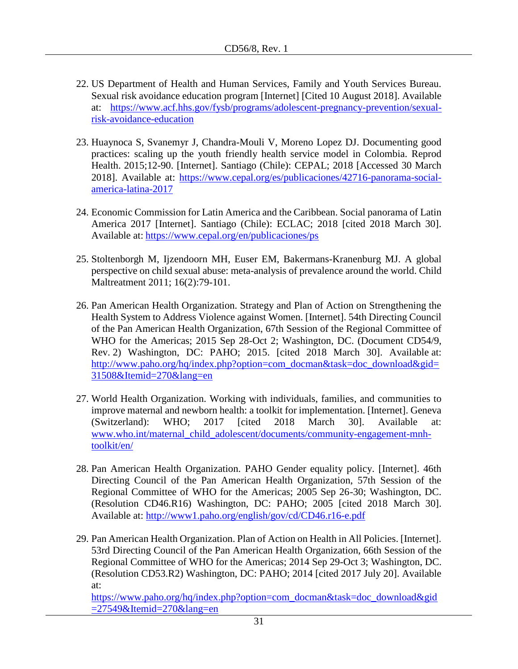- 22. US Department of Health and Human Services, Family and Youth Services Bureau. Sexual risk avoidance education program [Internet] [Cited 10 August 2018]. Available at: [https://www.acf.hhs.gov/fysb/programs/adolescent-pregnancy-prevention/sexual](https://www.acf.hhs.gov/fysb/programs/adolescent-pregnancy-prevention/sexual-risk-avoidance-education)[risk-avoidance-education](https://www.acf.hhs.gov/fysb/programs/adolescent-pregnancy-prevention/sexual-risk-avoidance-education)
- 23. Huaynoca S, Svanemyr J, Chandra-Mouli V, Moreno Lopez DJ. Documenting good practices: scaling up the youth friendly health service model in Colombia. Reprod Health. 2015;12-90. [Internet]. Santiago (Chile): CEPAL; 2018 [Accessed 30 March 2018]. Available at: [https://www.cepal.org/es/publicaciones/42716-panorama-social](https://www.cepal.org/es/publicaciones/42716-panorama-social-america-latina-2017)[america-latina-2017](https://www.cepal.org/es/publicaciones/42716-panorama-social-america-latina-2017)
- 24. Economic Commission for Latin America and the Caribbean. Social panorama of Latin America 2017 [Internet]. Santiago (Chile): ECLAC; 2018 [cited 2018 March 30]. Available at: <https://www.cepal.org/en/publicaciones/ps>
- 25. Stoltenborgh M, Ijzendoorn MH, Euser EM, Bakermans-Kranenburg MJ. A global perspective on child sexual abuse: meta-analysis of prevalence around the world. Child Maltreatment 2011; 16(2):79-101.
- 26. Pan American Health Organization. Strategy and Plan of Action on Strengthening the Health System to Address Violence against Women. [Internet]. 54th Directing Council of the Pan American Health Organization, 67th Session of the Regional Committee of WHO for the Americas; 2015 Sep 28-Oct 2; Washington, DC. (Document CD54/9, Rev. 2) Washington, DC: PAHO; 2015. [cited 2018 March 30]. Available at: [http://www.paho.org/hq/index.php?option=com\\_docman&task=doc\\_download&gid=](http://www.paho.org/hq/index.php?option=com_docman&task=doc_download&gid=31508&Itemid=270&lang=en) [31508&Itemid=270&lang=en](http://www.paho.org/hq/index.php?option=com_docman&task=doc_download&gid=31508&Itemid=270&lang=en)
- 27. World Health Organization. Working with individuals, families, and communities to improve maternal and newborn health: a toolkit for implementation. [Internet]. Geneva (Switzerland): WHO; 2017 [cited 2018 March 30]. Available at: [www.who.int/maternal\\_child\\_adolescent/documents/community-engagement-mnh](http://www.who.int/maternal_child_adolescent/documents/community-engagement-mnh-toolkit/en/)[toolkit/en/](http://www.who.int/maternal_child_adolescent/documents/community-engagement-mnh-toolkit/en/)
- 28. Pan American Health Organization. PAHO Gender equality policy. [Internet]. 46th Directing Council of the Pan American Health Organization, 57th Session of the Regional Committee of WHO for the Americas; 2005 Sep 26-30; Washington, DC. (Resolution CD46.R16) Washington, DC: PAHO; 2005 [cited 2018 March 30]. Available at:<http://www1.paho.org/english/gov/cd/CD46.r16-e.pdf>
- 29. Pan American Health Organization. Plan of Action on Health in All Policies. [Internet]. 53rd Directing Council of the Pan American Health Organization, 66th Session of the Regional Committee of WHO for the Americas; 2014 Sep 29-Oct 3; Washington, DC. (Resolution CD53.R2) Washington, DC: PAHO; 2014 [cited 2017 July 20]. Available at:

[https://www.paho.org/hq/index.php?option=com\\_docman&task=doc\\_download&gid](https://www.paho.org/hq/index.php?option=com_docman&task=doc_download&gid=27549&Itemid=270&lang=en) [=27549&Itemid=270&lang=en](https://www.paho.org/hq/index.php?option=com_docman&task=doc_download&gid=27549&Itemid=270&lang=en)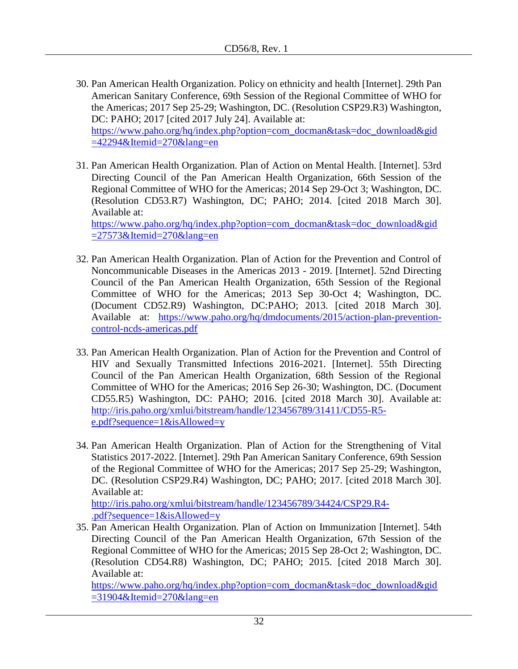- 30. Pan American Health Organization. Policy on ethnicity and health [Internet]. 29th Pan American Sanitary Conference, 69th Session of the Regional Committee of WHO for the Americas; 2017 Sep 25-29; Washington, DC. (Resolution CSP29.R3) Washington, DC: PAHO; 2017 [cited 2017 July 24]. Available at: [https://www.paho.org/hq/index.php?option=com\\_docman&task=doc\\_download&gid](https://www.paho.org/hq/index.php?option=com_docman&task=doc_download&gid=42294&Itemid=270&lang=en)  $=42294\&$ Itemid=270 $\&$ lang=en
- 31. Pan American Health Organization. Plan of Action on Mental Health. [Internet]. 53rd Directing Council of the Pan American Health Organization, 66th Session of the Regional Committee of WHO for the Americas; 2014 Sep 29-Oct 3; Washington, DC. (Resolution CD53.R7) Washington, DC; PAHO; 2014. [cited 2018 March 30]. Available at:

[https://www.paho.org/hq/index.php?option=com\\_docman&task=doc\\_download&gid](https://www.paho.org/hq/index.php?option=com_docman&task=doc_download&gid=27573&Itemid=270&lang=en)  $=27573\&$ Itemid $=270\&$ lang $=$ en

- 32. Pan American Health Organization. Plan of Action for the Prevention and Control of Noncommunicable Diseases in the Americas 2013 - 2019. [Internet]. 52nd Directing Council of the Pan American Health Organization, 65th Session of the Regional Committee of WHO for the Americas; 2013 Sep 30-Oct 4; Washington, DC. (Document CD52.R9) Washington, DC:PAHO; 2013. [cited 2018 March 30]. Available at: [https://www.paho.org/hq/dmdocuments/2015/action-plan-prevention](https://www.paho.org/hq/dmdocuments/2015/action-plan-prevention-control-ncds-americas.pdf)[control-ncds-americas.pdf](https://www.paho.org/hq/dmdocuments/2015/action-plan-prevention-control-ncds-americas.pdf)
- 33. Pan American Health Organization. Plan of Action for the Prevention and Control of HIV and Sexually Transmitted Infections 2016-2021. [Internet]. 55th Directing Council of the Pan American Health Organization, 68th Session of the Regional Committee of WHO for the Americas; 2016 Sep 26-30; Washington, DC. (Document CD55.R5) Washington, DC: PAHO; 2016. [cited 2018 March 30]. Available at: [http://iris.paho.org/xmlui/bitstream/handle/123456789/31411/CD55-R5](http://iris.paho.org/xmlui/bitstream/handle/123456789/31411/CD55-R5-e.pdf?sequence=1&isAllowed=y) [e.pdf?sequence=1&isAllowed=y](http://iris.paho.org/xmlui/bitstream/handle/123456789/31411/CD55-R5-e.pdf?sequence=1&isAllowed=y)
- 34. Pan American Health Organization. Plan of Action for the Strengthening of Vital Statistics 2017-2022. [Internet]. 29th Pan American Sanitary Conference, 69th Session of the Regional Committee of WHO for the Americas; 2017 Sep 25-29; Washington, DC. (Resolution CSP29.R4) Washington, DC; PAHO; 2017. [cited 2018 March 30]. Available at:

[http://iris.paho.org/xmlui/bitstream/handle/123456789/34424/CSP29.R4-](http://iris.paho.org/xmlui/bitstream/handle/123456789/34424/CSP29.R4-.pdf?sequence=1&isAllowed=y) [.pdf?sequence=1&isAllowed=y](http://iris.paho.org/xmlui/bitstream/handle/123456789/34424/CSP29.R4-.pdf?sequence=1&isAllowed=y)

35. Pan American Health Organization. Plan of Action on Immunization [Internet]. 54th Directing Council of the Pan American Health Organization, 67th Session of the Regional Committee of WHO for the Americas; 2015 Sep 28-Oct 2; Washington, DC. (Resolution CD54.R8) Washington, DC; PAHO; 2015. [cited 2018 March 30]. Available at:

[https://www.paho.org/hq/index.php?option=com\\_docman&task=doc\\_download&gid](https://www.paho.org/hq/index.php?option=com_docman&task=doc_download&gid=31904&Itemid=270&lang=en)  $=31904\&$ Itemid $=270\&$ lang $=$ en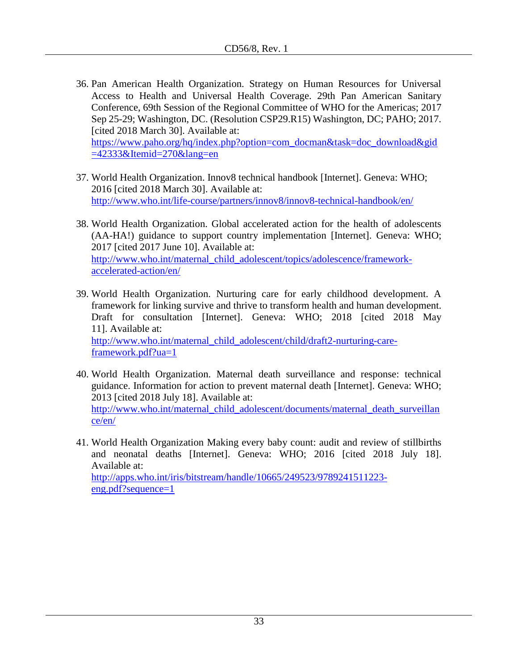36. Pan American Health Organization. Strategy on Human Resources for Universal Access to Health and Universal Health Coverage. 29th Pan American Sanitary Conference, 69th Session of the Regional Committee of WHO for the Americas; 2017 Sep 25-29; Washington, DC. (Resolution CSP29.R15) Washington, DC; PAHO; 2017. [cited 2018 March 30]. Available at: [https://www.paho.org/hq/index.php?option=com\\_docman&task=doc\\_download&gid](https://www.paho.org/hq/index.php?option=com_docman&task=doc_download&gid=42333&Itemid=270&lang=en)

[=42333&Itemid=270&lang=en](https://www.paho.org/hq/index.php?option=com_docman&task=doc_download&gid=42333&Itemid=270&lang=en)

- 37. World Health Organization. Innov8 technical handbook [Internet]. Geneva: WHO; 2016 [cited 2018 March 30]. Available at: <http://www.who.int/life-course/partners/innov8/innov8-technical-handbook/en/>
- 38. World Health Organization. Global accelerated action for the health of adolescents (AA-HA!) guidance to support country implementation [Internet]. Geneva: WHO; 2017 [cited 2017 June 10]. Available at: [http://www.who.int/maternal\\_child\\_adolescent/topics/adolescence/framework](http://www.who.int/maternal_child_adolescent/topics/adolescence/framework-accelerated-action/en/)[accelerated-action/en/](http://www.who.int/maternal_child_adolescent/topics/adolescence/framework-accelerated-action/en/)
- 39. World Health Organization. Nurturing care for early childhood development. A framework for linking survive and thrive to transform health and human development. Draft for consultation [Internet]. Geneva: WHO; 2018 [cited 2018 May 11]. Available at: [http://www.who.int/maternal\\_child\\_adolescent/child/draft2-nurturing-care](http://www.who.int/maternal_child_adolescent/child/draft2-nurturing-care-framework.pdf?ua=1)[framework.pdf?ua=1](http://www.who.int/maternal_child_adolescent/child/draft2-nurturing-care-framework.pdf?ua=1)
- 40. World Health Organization. Maternal death surveillance and response: technical guidance. Information for action to prevent maternal death [Internet]. Geneva: WHO; 2013 [cited 2018 July 18]. Available at: [http://www.who.int/maternal\\_child\\_adolescent/documents/maternal\\_death\\_surveillan](http://www.who.int/maternal_child_adolescent/documents/maternal_death_surveillance/en/) [ce/en/](http://www.who.int/maternal_child_adolescent/documents/maternal_death_surveillance/en/)
- 41. World Health Organization Making every baby count: audit and review of stillbirths and neonatal deaths [Internet]. Geneva: WHO; 2016 [cited 2018 July 18]. Available at:

[http://apps.who.int/iris/bitstream/handle/10665/249523/9789241511223](http://apps.who.int/iris/bitstream/handle/10665/249523/9789241511223-eng.pdf?sequence=1) [eng.pdf?sequence=1](http://apps.who.int/iris/bitstream/handle/10665/249523/9789241511223-eng.pdf?sequence=1)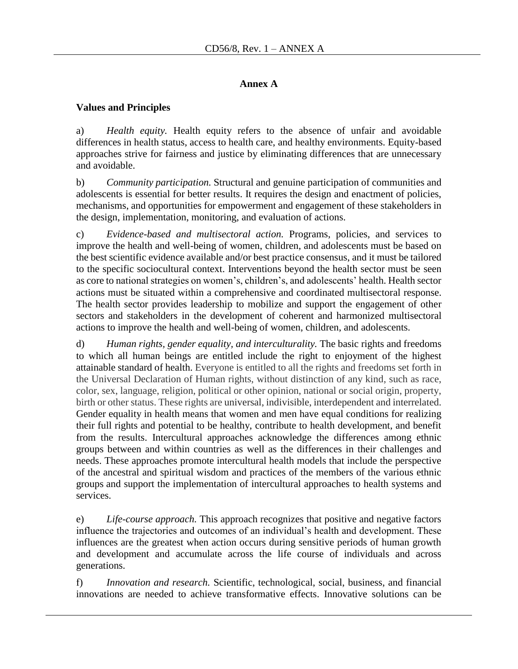#### **Annex A**

#### **Values and Principles**

a) *Health equity.* Health equity refers to the absence of unfair and avoidable differences in health status, access to health care, and healthy environments. Equity-based approaches strive for fairness and justice by eliminating differences that are unnecessary and avoidable.

b) *Community participation.* Structural and genuine participation of communities and adolescents is essential for better results. It requires the design and enactment of policies, mechanisms, and opportunities for empowerment and engagement of these stakeholders in the design, implementation, monitoring, and evaluation of actions.

c) *Evidence-based and multisectoral action.* Programs, policies, and services to improve the health and well-being of women, children, and adolescents must be based on the best scientific evidence available and/or best practice consensus, and it must be tailored to the specific sociocultural context. Interventions beyond the health sector must be seen as core to national strategies on women's, children's, and adolescents' health. Health sector actions must be situated within a comprehensive and coordinated multisectoral response. The health sector provides leadership to mobilize and support the engagement of other sectors and stakeholders in the development of coherent and harmonized multisectoral actions to improve the health and well-being of women, children, and adolescents.

d) *Human rights, gender equality, and interculturality.* The basic rights and freedoms to which all human beings are entitled include the right to enjoyment of the highest attainable standard of health. Everyone is entitled to all the rights and freedoms set forth in the Universal Declaration of Human rights, without distinction of any kind, such as race, color, sex, language, religion, political or other opinion, national or social origin, property, birth or other status. These rights are universal, indivisible, interdependent and interrelated. Gender equality in health means that women and men have equal conditions for realizing their full rights and potential to be healthy, contribute to health development, and benefit from the results. Intercultural approaches acknowledge the differences among ethnic groups between and within countries as well as the differences in their challenges and needs. These approaches promote intercultural health models that include the perspective of the ancestral and spiritual wisdom and practices of the members of the various ethnic groups and support the implementation of intercultural approaches to health systems and services.

e) *Life-course approach.* This approach recognizes that positive and negative factors influence the trajectories and outcomes of an individual's health and development. These influences are the greatest when action occurs during sensitive periods of human growth and development and accumulate across the life course of individuals and across generations.

f) *Innovation and research.* Scientific, technological, social, business, and financial innovations are needed to achieve transformative effects. Innovative solutions can be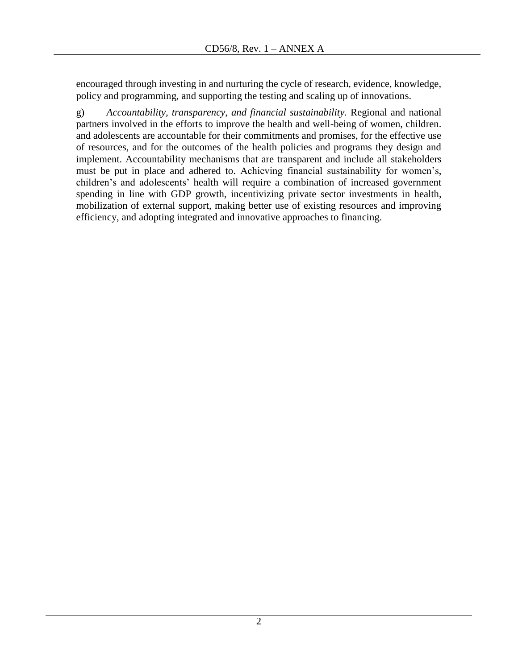encouraged through investing in and nurturing the cycle of research, evidence, knowledge, policy and programming, and supporting the testing and scaling up of innovations.

g) *Accountability, transparency, and financial sustainability.* Regional and national partners involved in the efforts to improve the health and well-being of women, children. and adolescents are accountable for their commitments and promises, for the effective use of resources, and for the outcomes of the health policies and programs they design and implement. Accountability mechanisms that are transparent and include all stakeholders must be put in place and adhered to. Achieving financial sustainability for women's, children's and adolescents' health will require a combination of increased government spending in line with GDP growth, incentivizing private sector investments in health, mobilization of external support, making better use of existing resources and improving efficiency, and adopting integrated and innovative approaches to financing.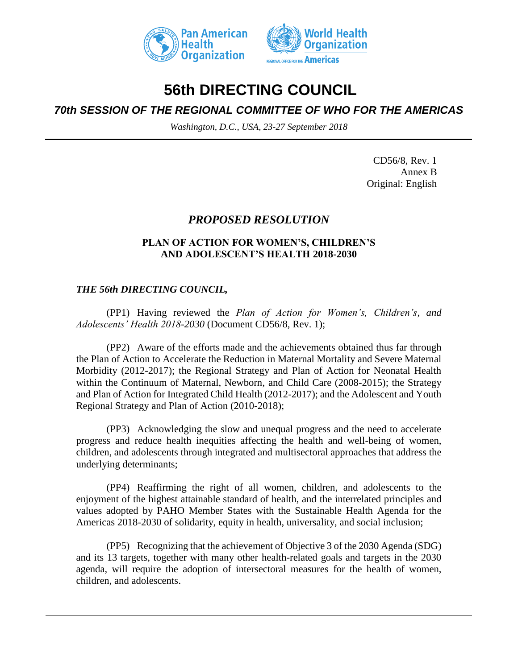



# **56th DIRECTING COUNCIL**

# *70th SESSION OF THE REGIONAL COMMITTEE OF WHO FOR THE AMERICAS*

*Washington, D.C., USA, 23-27 September 2018*

CD56/8, Rev. 1 Annex B Original: English

# *PROPOSED RESOLUTION*

## **PLAN OF ACTION FOR WOMEN'S, CHILDREN'S AND ADOLESCENT'S HEALTH 2018-2030**

## *THE 56th DIRECTING COUNCIL,*

(PP1) Having reviewed the *Plan of Action for Women's, Children's, and Adolescents' Health 2018-2030* (Document CD56/8, Rev. 1);

(PP2) Aware of the efforts made and the achievements obtained thus far through the Plan of Action to Accelerate the Reduction in Maternal Mortality and Severe Maternal Morbidity (2012-2017); the Regional Strategy and Plan of Action for Neonatal Health within the Continuum of Maternal, Newborn, and Child Care (2008-2015); the Strategy and Plan of Action for Integrated Child Health (2012-2017); and the Adolescent and Youth Regional Strategy and Plan of Action (2010-2018);

(PP3) Acknowledging the slow and unequal progress and the need to accelerate progress and reduce health inequities affecting the health and well-being of women, children, and adolescents through integrated and multisectoral approaches that address the underlying determinants;

(PP4) Reaffirming the right of all women, children, and adolescents to the enjoyment of the highest attainable standard of health, and the interrelated principles and values adopted by PAHO Member States with the Sustainable Health Agenda for the Americas 2018-2030 of solidarity, equity in health, universality, and social inclusion;

(PP5) Recognizing that the achievement of Objective 3 of the 2030 Agenda (SDG) and its 13 targets, together with many other health-related goals and targets in the 2030 agenda, will require the adoption of intersectoral measures for the health of women, children, and adolescents.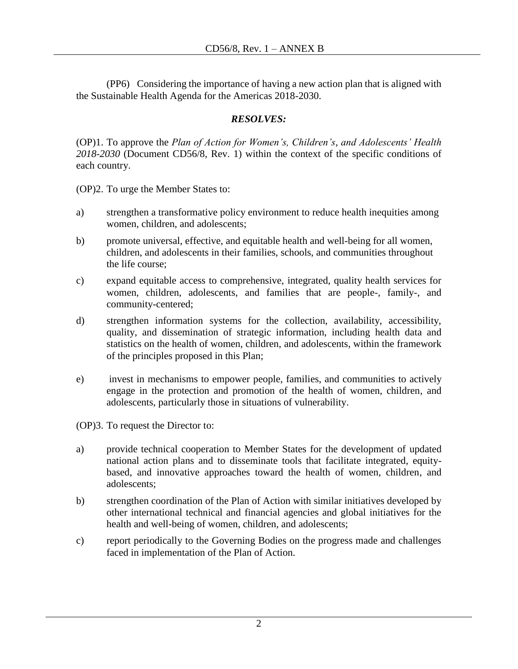(PP6) Considering the importance of having a new action plan that is aligned with the Sustainable Health Agenda for the Americas 2018-2030.

## *RESOLVES:*

(OP)1. To approve the *Plan of Action for Women's, Children's, and Adolescents' Health 2018-2030* (Document CD56/8, Rev. 1) within the context of the specific conditions of each country.

(OP)2. To urge the Member States to:

- a) strengthen a transformative policy environment to reduce health inequities among women, children, and adolescents;
- b) promote universal, effective, and equitable health and well-being for all women, children, and adolescents in their families, schools, and communities throughout the life course;
- c) expand equitable access to comprehensive, integrated, quality health services for women, children, adolescents, and families that are people-, family-, and community-centered;
- d) strengthen information systems for the collection, availability, accessibility, quality, and dissemination of strategic information, including health data and statistics on the health of women, children, and adolescents, within the framework of the principles proposed in this Plan;
- e) invest in mechanisms to empower people, families, and communities to actively engage in the protection and promotion of the health of women, children, and adolescents, particularly those in situations of vulnerability.

(OP)3. To request the Director to:

- a) provide technical cooperation to Member States for the development of updated national action plans and to disseminate tools that facilitate integrated, equitybased, and innovative approaches toward the health of women, children, and adolescents;
- b) strengthen coordination of the Plan of Action with similar initiatives developed by other international technical and financial agencies and global initiatives for the health and well-being of women, children, and adolescents;
- c) report periodically to the Governing Bodies on the progress made and challenges faced in implementation of the Plan of Action.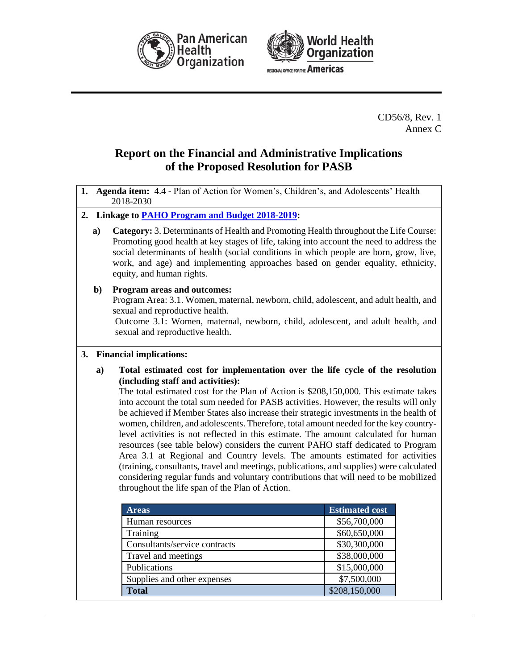



CD56/8, Rev. 1 Annex C

# **Report on the Financial and Administrative Implications of the Proposed Resolution for PASB**

- **1. Agenda item:** 4.4 Plan of Action for Women's, Children's, and Adolescents' Health 2018-2030
- **2. Linkage to [PAHO Program and Budget 2018-2019](http://new.paho.org/hq/index.php?option=com_docman&task=doc_download&gid=41770&Itemid=270&lang=en):**
	- **a) Category:** 3. Determinants of Health and Promoting Health throughout the Life Course: Promoting good health at key stages of life, taking into account the need to address the social determinants of health (social conditions in which people are born, grow, live, work, and age) and implementing approaches based on gender equality, ethnicity, equity, and human rights.
	- **b) Program areas and outcomes:**

Program Area: 3.1. Women, maternal, newborn, child, adolescent, and adult health, and sexual and reproductive health.

Outcome 3.1: Women, maternal, newborn, child, adolescent, and adult health, and sexual and reproductive health.

#### **3. Financial implications:**

**a) Total estimated cost for implementation over the life cycle of the resolution (including staff and activities):**

The total estimated cost for the Plan of Action is \$208,150,000. This estimate takes into account the total sum needed for PASB activities. However, the results will only be achieved if Member States also increase their strategic investments in the health of women, children, and adolescents. Therefore, total amount needed for the key countrylevel activities is not reflected in this estimate. The amount calculated for human resources (see table below) considers the current PAHO staff dedicated to Program Area 3.1 at Regional and Country levels. The amounts estimated for activities (training, consultants, travel and meetings, publications, and supplies) were calculated considering regular funds and voluntary contributions that will need to be mobilized throughout the life span of the Plan of Action.

| <b>Areas</b>                  | <b>Estimated cost</b> |  |
|-------------------------------|-----------------------|--|
| Human resources               | \$56,700,000          |  |
| Training                      | \$60,650,000          |  |
| Consultants/service contracts | \$30,300,000          |  |
| Travel and meetings           | \$38,000,000          |  |
| Publications                  | \$15,000,000          |  |
| Supplies and other expenses   | \$7,500,000           |  |
| <b>Total</b>                  | \$208,150,000         |  |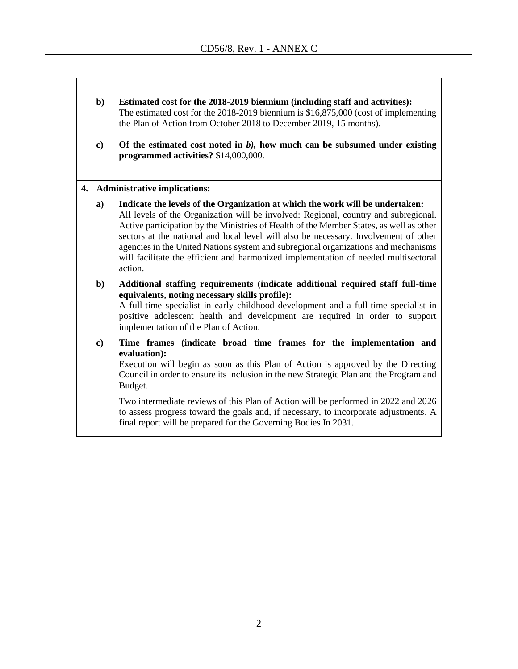- **b) Estimated cost for the 2018-2019 biennium (including staff and activities):** The estimated cost for the 2018-2019 biennium is \$16,875,000 (cost of implementing the Plan of Action from October 2018 to December 2019, 15 months).
- **c) Of the estimated cost noted in** *b),* **how much can be subsumed under existing programmed activities?** \$14,000,000.

#### **4. Administrative implications:**

- **a) Indicate the levels of the Organization at which the work will be undertaken:** All levels of the Organization will be involved: Regional, country and subregional. Active participation by the Ministries of Health of the Member States, as well as other sectors at the national and local level will also be necessary. Involvement of other agencies in the United Nations system and subregional organizations and mechanisms will facilitate the efficient and harmonized implementation of needed multisectoral action.
- **b) Additional staffing requirements (indicate additional required staff full-time equivalents, noting necessary skills profile):**

A full-time specialist in early childhood development and a full-time specialist in positive adolescent health and development are required in order to support implementation of the Plan of Action.

**c) Time frames (indicate broad time frames for the implementation and evaluation):** 

Execution will begin as soon as this Plan of Action is approved by the Directing Council in order to ensure its inclusion in the new Strategic Plan and the Program and Budget.

Two intermediate reviews of this Plan of Action will be performed in 2022 and 2026 to assess progress toward the goals and, if necessary, to incorporate adjustments. A final report will be prepared for the Governing Bodies In 2031.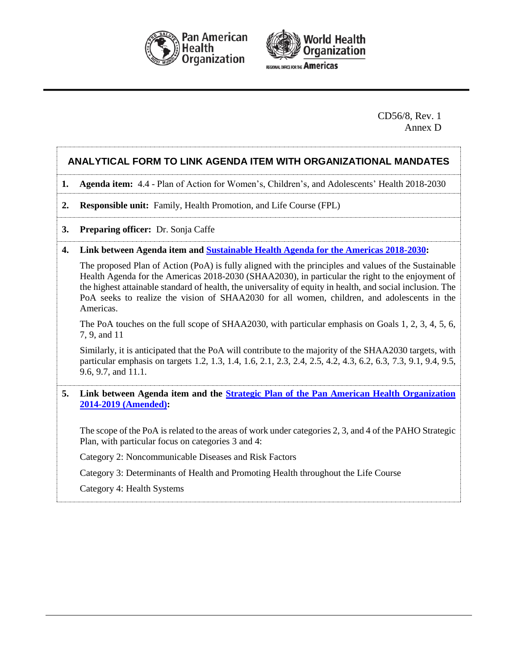



CD56/8, Rev. 1 Annex D

#### **ANALYTICAL FORM TO LINK AGENDA ITEM WITH ORGANIZATIONAL MANDATES**

#### **1. Agenda item:** 4.4 - Plan of Action for Women's, Children's, and Adolescents' Health 2018-2030

- **2. Responsible unit:** Family, Health Promotion, and Life Course (FPL)
- **3. Preparing officer:** Dr. Sonja Caffe
- **4. Link between Agenda item and [Sustainable Health Agenda for the Americas 2018-2030:](http://new.paho.org/hq/index.php?option=com_docman&task=doc_download&gid=41946&Itemid=270&lang=en)**

The proposed Plan of Action (PoA) is fully aligned with the principles and values of the Sustainable Health Agenda for the Americas 2018-2030 (SHAA2030), in particular the right to the enjoyment of the highest attainable standard of health, the universality of equity in health, and social inclusion. The PoA seeks to realize the vision of SHAA2030 for all women, children, and adolescents in the Americas.

The PoA touches on the full scope of SHAA2030, with particular emphasis on Goals 1, 2, 3, 4, 5, 6, 7, 9, and 11

Similarly, it is anticipated that the PoA will contribute to the majority of the SHAA2030 targets, with particular emphasis on targets 1.2, 1.3, 1.4, 1.6, 2.1, 2.3, 2.4, 2.5, 4.2, 4.3, 6.2, 6.3, 7.3, 9.1, 9.4, 9.5, 9.6, 9.7, and 11.1.

**5. Link between Agenda item and the [Strategic Plan of the Pan American Health Organization](http://new.paho.org/hq/index.php?option=com_docman&task=doc_download&gid=41493&Itemid=270&lang=en)  [2014-2019 \(Amended\):](http://new.paho.org/hq/index.php?option=com_docman&task=doc_download&gid=41493&Itemid=270&lang=en)**

The scope of the PoA is related to the areas of work under categories 2, 3, and 4 of the PAHO Strategic Plan, with particular focus on categories 3 and 4:

Category 2: Noncommunicable Diseases and Risk Factors

Category 3: Determinants of Health and Promoting Health throughout the Life Course

Category 4: Health Systems